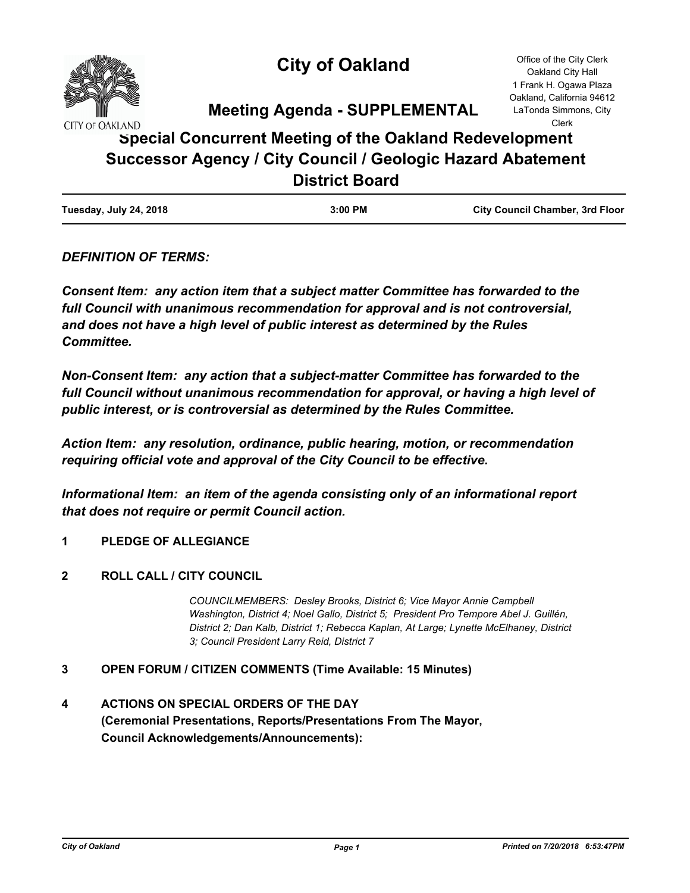

# **City of Oakland**

**Meeting Agenda - SUPPLEMENTAL**

# **Special Concurrent Meeting of the Oakland Redevelopment Successor Agency / City Council / Geologic Hazard Abatement District Board**

## *DEFINITION OF TERMS:*

*Consent Item: any action item that a subject matter Committee has forwarded to the full Council with unanimous recommendation for approval and is not controversial, and does not have a high level of public interest as determined by the Rules Committee.*

*Non-Consent Item: any action that a subject-matter Committee has forwarded to the*  full Council without unanimous recommendation for approval, or having a high level of *public interest, or is controversial as determined by the Rules Committee.*

*Action Item: any resolution, ordinance, public hearing, motion, or recommendation requiring official vote and approval of the City Council to be effective.*

*Informational Item: an item of the agenda consisting only of an informational report that does not require or permit Council action.*

- **1 PLEDGE OF ALLEGIANCE**
- **2 ROLL CALL / CITY COUNCIL**

*COUNCILMEMBERS: Desley Brooks, District 6; Vice Mayor Annie Campbell Washington, District 4; Noel Gallo, District 5; President Pro Tempore Abel J. Guillén, District 2; Dan Kalb, District 1; Rebecca Kaplan, At Large; Lynette McElhaney, District 3; Council President Larry Reid, District 7*

- **3 OPEN FORUM / CITIZEN COMMENTS (Time Available: 15 Minutes)**
- **4 ACTIONS ON SPECIAL ORDERS OF THE DAY (Ceremonial Presentations, Reports/Presentations From The Mayor, Council Acknowledgements/Announcements):**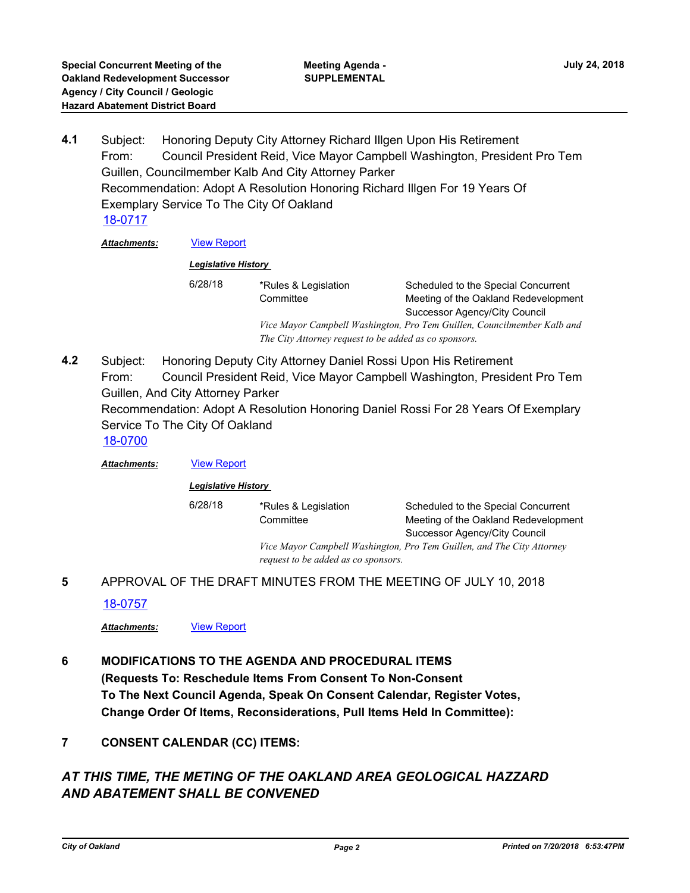Subject: Honoring Deputy City Attorney Richard Illgen Upon His Retirement From: Council President Reid, Vice Mayor Campbell Washington, President Pro Tem Guillen, Councilmember Kalb And City Attorney Parker Recommendation: Adopt A Resolution Honoring Richard Illgen For 19 Years Of Exemplary Service To The City Of Oakland **4.1** [18-0717](http://oakland.legistar.com/gateway.aspx?m=l&id=/matter.aspx?key=29151)

*Attachments:* [View Report](http://oakland.legistar.com/gateway.aspx?M=F&ID=0c1b799c-e73c-4fcf-9502-800654af63bb.pdf)

#### *Legislative History*

| 6/28/18 | *Rules & Legislation                                                    | Scheduled to the Special Concurrent  |  |
|---------|-------------------------------------------------------------------------|--------------------------------------|--|
|         | Committee                                                               | Meeting of the Oakland Redevelopment |  |
|         |                                                                         | Successor Agency/City Council        |  |
|         | Vice Mayor Campbell Washington, Pro Tem Guillen, Councilmember Kalb and |                                      |  |
|         | The City Attorney request to be added as co sponsors.                   |                                      |  |
|         |                                                                         |                                      |  |

Subject: Honoring Deputy City Attorney Daniel Rossi Upon His Retirement From: Council President Reid, Vice Mayor Campbell Washington, President Pro Tem Guillen, And City Attorney Parker Recommendation: Adopt A Resolution Honoring Daniel Rossi For 28 Years Of Exemplary Service To The City Of Oakland **4.2** [18-0700](http://oakland.legistar.com/gateway.aspx?m=l&id=/matter.aspx?key=29134)

*Attachments:* [View Report](http://oakland.legistar.com/gateway.aspx?M=F&ID=1d0b46a6-daa3-4eab-ae33-c123a6c5c6c9.pdf)

#### *Legislative History*

6/28/18 \*Rules & Legislation **Committee** *Vice Mayor Campbell Washington, Pro Tem Guillen, and The City Attorney* 

Scheduled to the Special Concurrent Meeting of the Oakland Redevelopment Successor Agency/City Council

*request to be added as co sponsors.*

**5** APPROVAL OF THE DRAFT MINUTES FROM THE MEETING OF JULY 10, 2018

### [18-0757](http://oakland.legistar.com/gateway.aspx?m=l&id=/matter.aspx?key=29191)

*Attachments:* [View Report](http://oakland.legistar.com/gateway.aspx?M=F&ID=e417ae31-3c53-4898-a3b4-42b94ad7a12d.pdf)

- **6 MODIFICATIONS TO THE AGENDA AND PROCEDURAL ITEMS (Requests To: Reschedule Items From Consent To Non-Consent To The Next Council Agenda, Speak On Consent Calendar, Register Votes, Change Order Of Items, Reconsiderations, Pull Items Held In Committee):**
- **7 CONSENT CALENDAR (CC) ITEMS:**

## *AT THIS TIME, THE METING OF THE OAKLAND AREA GEOLOGICAL HAZZARD AND ABATEMENT SHALL BE CONVENED*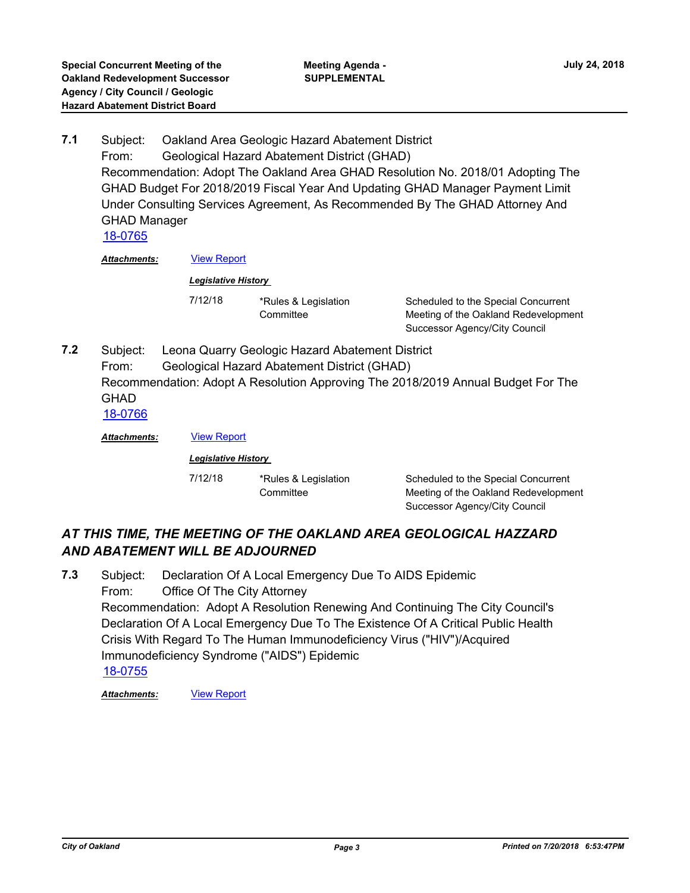Subject: Oakland Area Geologic Hazard Abatement District From: Geological Hazard Abatement District (GHAD) Recommendation: Adopt The Oakland Area GHAD Resolution No. 2018/01 Adopting The GHAD Budget For 2018/2019 Fiscal Year And Updating GHAD Manager Payment Limit Under Consulting Services Agreement, As Recommended By The GHAD Attorney And GHAD Manager **7.1** [18-0765](http://oakland.legistar.com/gateway.aspx?m=l&id=/matter.aspx?key=29199)

*Attachments:* [View Report](http://oakland.legistar.com/gateway.aspx?M=F&ID=a60be905-7044-44fb-a656-4943d993c50f.pdf)

### *Legislative History*

7/12/18 \*Rules & Legislation **Committee** 

Scheduled to the Special Concurrent Meeting of the Oakland Redevelopment Successor Agency/City Council

Subject: Leona Quarry Geologic Hazard Abatement District From: Geological Hazard Abatement District (GHAD) Recommendation: Adopt A Resolution Approving The 2018/2019 Annual Budget For The **GHAD 7.2** [18-0766](http://oakland.legistar.com/gateway.aspx?m=l&id=/matter.aspx?key=29200)

| Attachments: | <b>View Report</b><br><b>Legislative History</b> |           |                                      |  |
|--------------|--------------------------------------------------|-----------|--------------------------------------|--|
|              |                                                  |           |                                      |  |
|              |                                                  | Committee | Meeting of the Oakland Redevelopment |  |
|              |                                                  |           | Successor Agency/City Council        |  |

## *AT THIS TIME, THE MEETING OF THE OAKLAND AREA GEOLOGICAL HAZZARD AND ABATEMENT WILL BE ADJOURNED*

Subject: Declaration Of A Local Emergency Due To AIDS Epidemic From: Office Of The City Attorney Recommendation: Adopt A Resolution Renewing And Continuing The City Council's Declaration Of A Local Emergency Due To The Existence Of A Critical Public Health Crisis With Regard To The Human Immunodeficiency Virus ("HIV")/Acquired Immunodeficiency Syndrome ("AIDS") Epidemic **7.3** [18-0755](http://oakland.legistar.com/gateway.aspx?m=l&id=/matter.aspx?key=29189)

*Attachments:* [View Report](http://oakland.legistar.com/gateway.aspx?M=F&ID=3db1ee84-674b-40e1-ac05-dfbb0c39417a.pdf)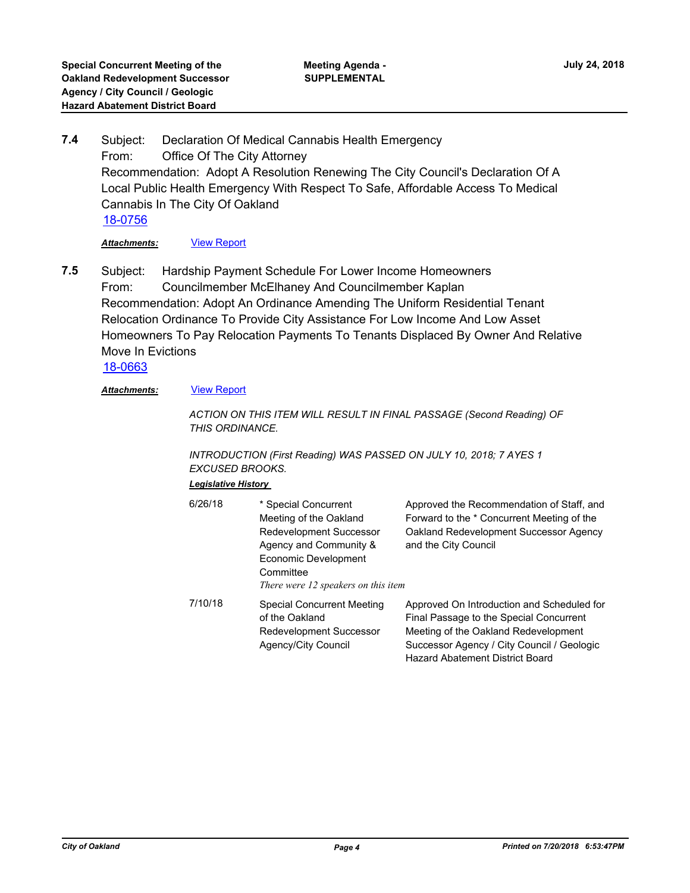Subject: Declaration Of Medical Cannabis Health Emergency From: Office Of The City Attorney Recommendation: Adopt A Resolution Renewing The City Council's Declaration Of A Local Public Health Emergency With Respect To Safe, Affordable Access To Medical Cannabis In The City Of Oakland **7.4** [18-0756](http://oakland.legistar.com/gateway.aspx?m=l&id=/matter.aspx?key=29190)

*Attachments:* [View Report](http://oakland.legistar.com/gateway.aspx?M=F&ID=f659eb79-2529-4856-9754-bb298c84d6f8.pdf)

Subject: Hardship Payment Schedule For Lower Income Homeowners From: Councilmember McElhaney And Councilmember Kaplan Recommendation: Adopt An Ordinance Amending The Uniform Residential Tenant Relocation Ordinance To Provide City Assistance For Low Income And Low Asset Homeowners To Pay Relocation Payments To Tenants Displaced By Owner And Relative Move In Evictions **7.5**

[18-0663](http://oakland.legistar.com/gateway.aspx?m=l&id=/matter.aspx?key=29097)

#### *Attachments:* [View Report](http://oakland.legistar.com/gateway.aspx?M=F&ID=09e3b0c4-0020-4e8a-9205-c932911d65fb.pdf)

*ACTION ON THIS ITEM WILL RESULT IN FINAL PASSAGE (Second Reading) OF THIS ORDINANCE.*

*INTRODUCTION (First Reading) WAS PASSED ON JULY 10, 2018; 7 AYES 1 EXCUSED BROOKS.*

## *Legislative History*

| 6/26/18 | * Special Concurrent<br>Meeting of the Oakland<br>Redevelopment Successor<br>Agency and Community &<br>Economic Development<br>Committee<br>There were 12 speakers on this item | Approved the Recommendation of Staff, and<br>Forward to the * Concurrent Meeting of the<br>Oakland Redevelopment Successor Agency<br>and the City Council                                                             |
|---------|---------------------------------------------------------------------------------------------------------------------------------------------------------------------------------|-----------------------------------------------------------------------------------------------------------------------------------------------------------------------------------------------------------------------|
| 7/10/18 | Special Concurrent Meeting<br>of the Oakland<br>Redevelopment Successor<br>Agency/City Council                                                                                  | Approved On Introduction and Scheduled for<br>Final Passage to the Special Concurrent<br>Meeting of the Oakland Redevelopment<br>Successor Agency / City Council / Geologic<br><b>Hazard Abatement District Board</b> |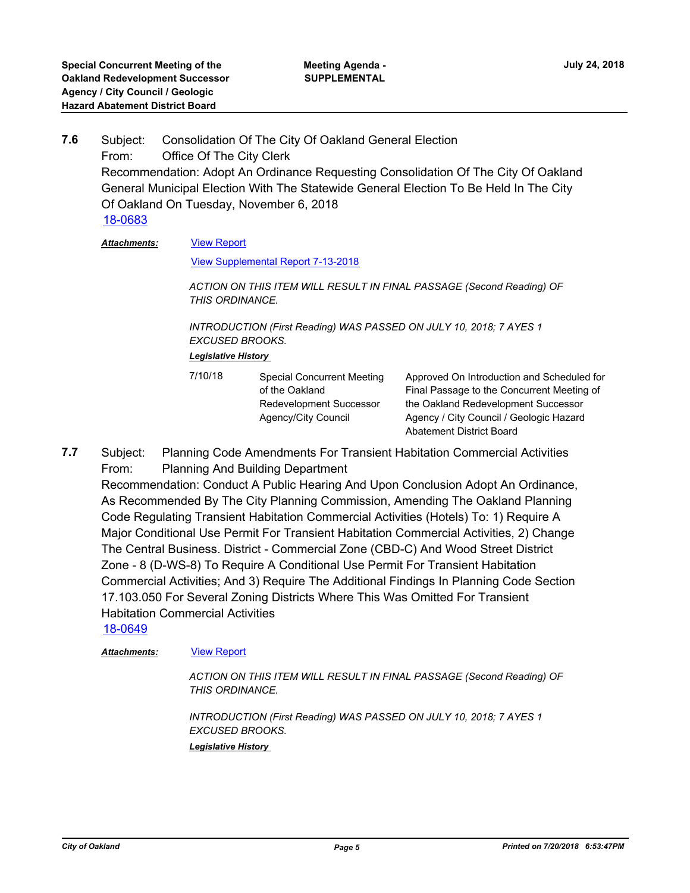Subject: Consolidation Of The City Of Oakland General Election From: Office Of The City Clerk Recommendation: Adopt An Ordinance Requesting Consolidation Of The City Of Oakland General Municipal Election With The Statewide General Election To Be Held In The City Of Oakland On Tuesday, November 6, 2018 **7.6** [18-0683](http://oakland.legistar.com/gateway.aspx?m=l&id=/matter.aspx?key=29117)

[View Report](http://oakland.legistar.com/gateway.aspx?M=F&ID=5db39a55-0297-4a61-b822-83208a25a2af.pdf) *Attachments:*

[View Supplemental Report 7-13-2018](http://oakland.legistar.com/gateway.aspx?M=F&ID=c31792ad-a3c3-4a05-9c51-ac5178acf80d.pdf)

*ACTION ON THIS ITEM WILL RESULT IN FINAL PASSAGE (Second Reading) OF THIS ORDINANCE.*

*INTRODUCTION (First Reading) WAS PASSED ON JULY 10, 2018; 7 AYES 1 EXCUSED BROOKS.*

*Legislative History* 

| 7/10/18 | <b>Special Concurrent Meeting</b> | Approved On Introduction   |
|---------|-----------------------------------|----------------------------|
|         | of the Oakland                    | Final Passage to the Conc  |
|         | Redevelopment Successor           | the Oakland Redevelopme    |
|         | Agency/City Council               | Agency / City Council / Ge |
|         |                                   |                            |

and Scheduled for furrent Meeting of ent Successor ologic Hazard Abatement District Board

Subject: Planning Code Amendments For Transient Habitation Commercial Activities From: Planning And Building Department **7.7**

Recommendation: Conduct A Public Hearing And Upon Conclusion Adopt An Ordinance, As Recommended By The City Planning Commission, Amending The Oakland Planning Code Regulating Transient Habitation Commercial Activities (Hotels) To: 1) Require A Major Conditional Use Permit For Transient Habitation Commercial Activities, 2) Change The Central Business. District - Commercial Zone (CBD-C) And Wood Street District Zone - 8 (D-WS-8) To Require A Conditional Use Permit For Transient Habitation Commercial Activities; And 3) Require The Additional Findings In Planning Code Section 17.103.050 For Several Zoning Districts Where This Was Omitted For Transient Habitation Commercial Activities

[18-0649](http://oakland.legistar.com/gateway.aspx?m=l&id=/matter.aspx?key=29083)

#### *Attachments:* [View Report](http://oakland.legistar.com/gateway.aspx?M=F&ID=1a9d2874-1c11-47e8-b0be-4578e30b9e27.pdf)

*ACTION ON THIS ITEM WILL RESULT IN FINAL PASSAGE (Second Reading) OF THIS ORDINANCE.*

*INTRODUCTION (First Reading) WAS PASSED ON JULY 10, 2018; 7 AYES 1 EXCUSED BROOKS. Legislative History*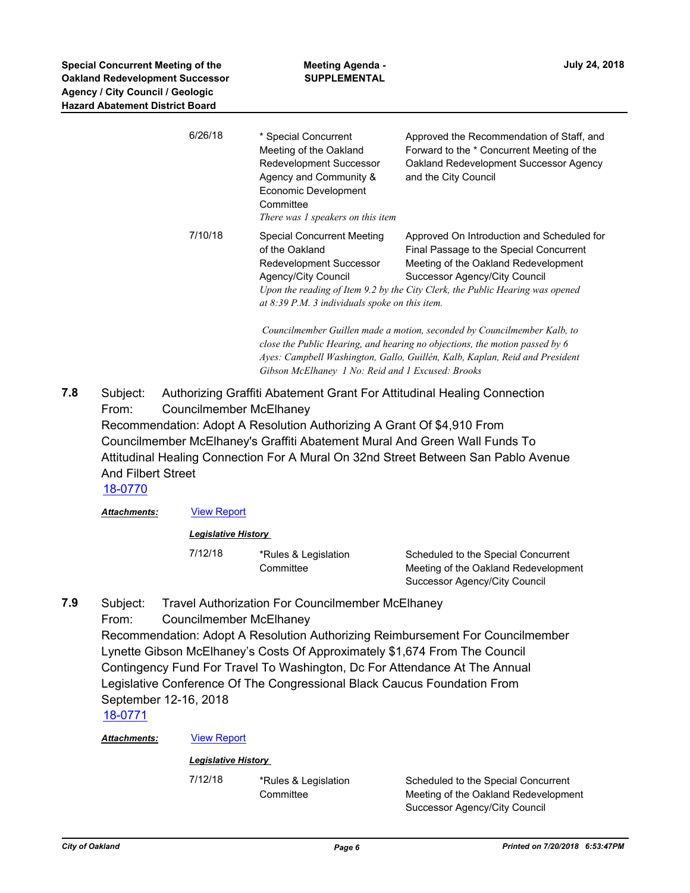| 6/26/18 | * Special Concurrent<br>Meeting of the Oakland<br>Redevelopment Successor<br>Agency and Community &<br>Economic Development<br>Committee<br>There was 1 speakers on this item | Approved the Recommendation of Staff, and<br>Forward to the * Concurrent Meeting of the<br>Oakland Redevelopment Successor Agency<br>and the City Council                                                                                       |
|---------|-------------------------------------------------------------------------------------------------------------------------------------------------------------------------------|-------------------------------------------------------------------------------------------------------------------------------------------------------------------------------------------------------------------------------------------------|
| 7/10/18 | Special Concurrent Meeting<br>of the Oakland<br>Redevelopment Successor<br>Agency/City Council<br>at $8:39$ P.M. 3 individuals spoke on this item.                            | Approved On Introduction and Scheduled for<br>Final Passage to the Special Concurrent<br>Meeting of the Oakland Redevelopment<br>Successor Agency/City Council<br>Upon the reading of Item 9.2 by the City Clerk, the Public Hearing was opened |

 *Councilmember Guillen made a motion, seconded by Councilmember Kalb, to close the Public Hearing, and hearing no objections, the motion passed by 6 Ayes: Campbell Washington, Gallo, Guillén, Kalb, Kaplan, Reid and President Gibson McElhaney 1 No: Reid and 1 Excused: Brooks*

Subject: Authorizing Graffiti Abatement Grant For Attitudinal Healing Connection From: Councilmember McElhaney Recommendation: Adopt A Resolution Authorizing A Grant Of \$4,910 From Councilmember McElhaney's Graffiti Abatement Mural And Green Wall Funds To Attitudinal Healing Connection For A Mural On 32nd Street Between San Pablo Avenue And Filbert Street **7.8**

[18-0770](http://oakland.legistar.com/gateway.aspx?m=l&id=/matter.aspx?key=29204)

*Attachments:* [View Report](http://oakland.legistar.com/gateway.aspx?M=F&ID=76834736-494b-4539-b593-b3db713294f5.pdf)

*Legislative History* 

7/12/18 \*Rules & Legislation **Committee** 

Scheduled to the Special Concurrent Meeting of the Oakland Redevelopment Successor Agency/City Council

Subject: Travel Authorization For Councilmember McElhaney **7.9**

From: Councilmember McElhaney Recommendation: Adopt A Resolution Authorizing Reimbursement For Councilmember Lynette Gibson McElhaney's Costs Of Approximately \$1,674 From The Council Contingency Fund For Travel To Washington, Dc For Attendance At The Annual Legislative Conference Of The Congressional Black Caucus Foundation From September 12-16, 2018

[18-0771](http://oakland.legistar.com/gateway.aspx?m=l&id=/matter.aspx?key=29205)

*Attachments:* [View Report](http://oakland.legistar.com/gateway.aspx?M=F&ID=4f84766c-f278-4d5e-9a1f-ef702f2334d6.pdf)

*Legislative History* 

7/12/18 \*Rules & Legislation **Committee** 

Scheduled to the Special Concurrent Meeting of the Oakland Redevelopment Successor Agency/City Council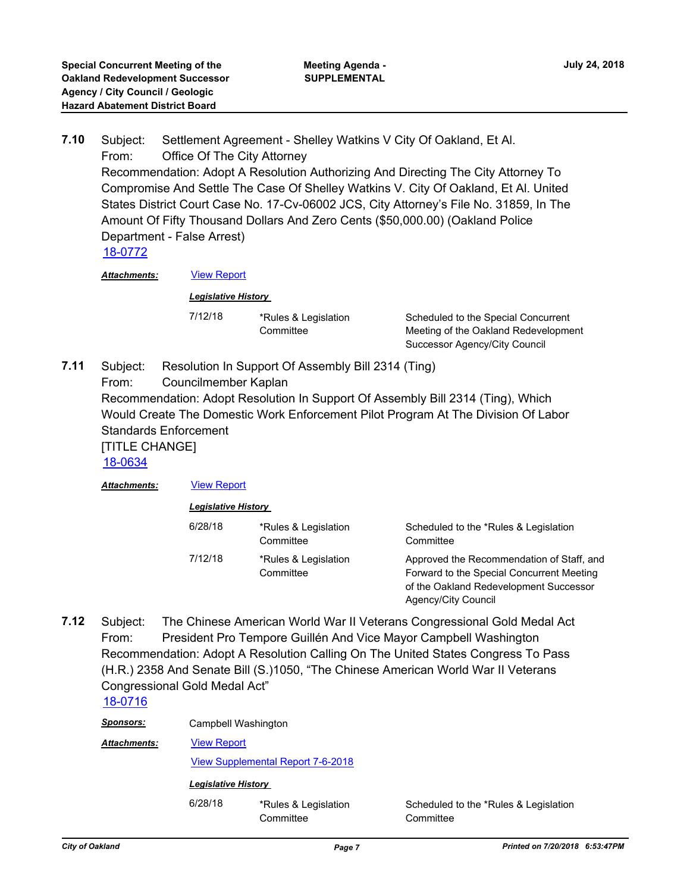Subject: Settlement Agreement - Shelley Watkins V City Of Oakland, Et Al. From: Office Of The City Attorney Recommendation: Adopt A Resolution Authorizing And Directing The City Attorney To Compromise And Settle The Case Of Shelley Watkins V. City Of Oakland, Et Al. United States District Court Case No. 17-Cv-06002 JCS, City Attorney's File No. 31859, In The Amount Of Fifty Thousand Dollars And Zero Cents (\$50,000.00) (Oakland Police Department - False Arrest) **7.10** [18-0772](http://oakland.legistar.com/gateway.aspx?m=l&id=/matter.aspx?key=29206)

*Attachments:* [View Report](http://oakland.legistar.com/gateway.aspx?M=F&ID=6ae8e807-9320-4494-a972-519eff3259d3.pdf)

#### *Legislative History*

7/12/18 \*Rules & Legislation **Committee** 

Scheduled to the Special Concurrent Meeting of the Oakland Redevelopment Successor Agency/City Council

Subject: Resolution In Support Of Assembly Bill 2314 (Ting) From: Councilmember Kaplan Recommendation: Adopt Resolution In Support Of Assembly Bill 2314 (Ting), Which Would Create The Domestic Work Enforcement Pilot Program At The Division Of Labor Standards Enforcement [TITLE CHANGE] **7.11** [18-0634](http://oakland.legistar.com/gateway.aspx?m=l&id=/matter.aspx?key=29068)

| <b>Attachments:</b> | <b>View Report</b>         |                                   |                                                                                                                                                         |  |
|---------------------|----------------------------|-----------------------------------|---------------------------------------------------------------------------------------------------------------------------------------------------------|--|
|                     | <b>Legislative History</b> |                                   |                                                                                                                                                         |  |
|                     | 6/28/18                    | *Rules & Legislation<br>Committee | Scheduled to the *Rules & Legislation<br>Committee                                                                                                      |  |
|                     | 7/12/18                    | *Rules & Legislation<br>Committee | Approved the Recommendation of Staff, and<br>Forward to the Special Concurrent Meeting<br>of the Oakland Redevelopment Successor<br>Agency/City Council |  |

Subject: The Chinese American World War II Veterans Congressional Gold Medal Act From: President Pro Tempore Guillén And Vice Mayor Campbell Washington Recommendation: Adopt A Resolution Calling On The United States Congress To Pass (H.R.) 2358 And Senate Bill (S.)1050, "The Chinese American World War II Veterans Congressional Gold Medal Act" **7.12**

## [18-0716](http://oakland.legistar.com/gateway.aspx?m=l&id=/matter.aspx?key=29150)

| <u>Sponsors:</u>                          | Campbell Washington                      |                                   |                                                    |
|-------------------------------------------|------------------------------------------|-----------------------------------|----------------------------------------------------|
| <b>View Report</b><br><b>Attachments:</b> |                                          |                                   |                                                    |
|                                           | <b>View Supplemental Report 7-6-2018</b> |                                   |                                                    |
|                                           | <b>Legislative History</b>               |                                   |                                                    |
|                                           | 6/28/18                                  | *Rules & Legislation<br>Committee | Scheduled to the *Rules & Legislation<br>Committee |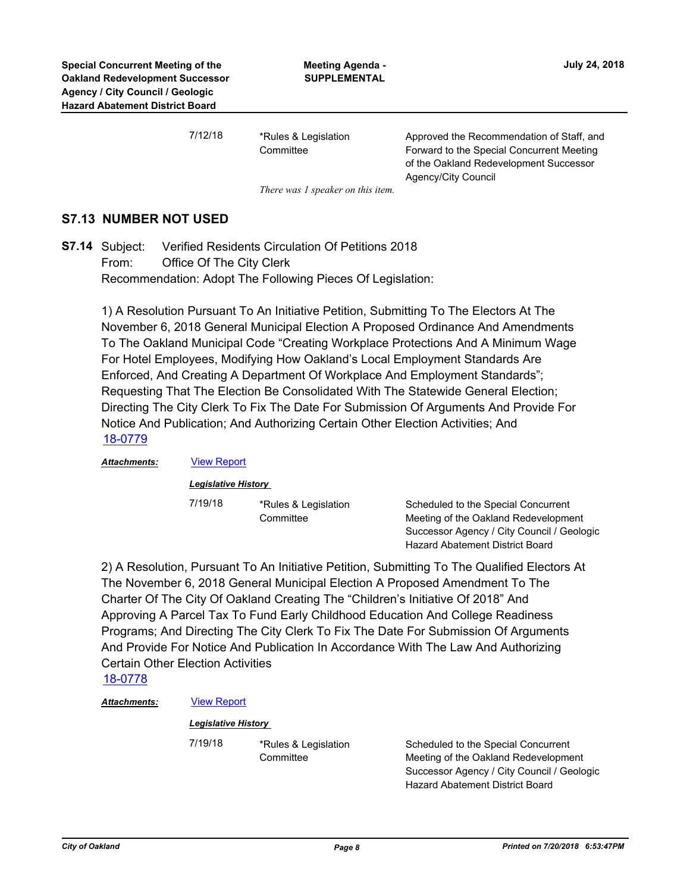7/12/18 \*Rules & Legislation

**Committee** 

Approved the Recommendation of Staff, and Forward to the Special Concurrent Meeting of the Oakland Redevelopment Successor Agency/City Council

*There was 1 speaker on this item.*

## **S7.13 NUMBER NOT USED**

Verified Residents Circulation Of Petitions 2018 From: Office Of The City Clerk Recommendation: Adopt The Following Pieces Of Legislation: **S7.14**

> 1) A Resolution Pursuant To An Initiative Petition, Submitting To The Electors At The November 6, 2018 General Municipal Election A Proposed Ordinance And Amendments To The Oakland Municipal Code "Creating Workplace Protections And A Minimum Wage For Hotel Employees, Modifying How Oakland's Local Employment Standards Are Enforced, And Creating A Department Of Workplace And Employment Standards"; Requesting That The Election Be Consolidated With The Statewide General Election; Directing The City Clerk To Fix The Date For Submission Of Arguments And Provide For Notice And Publication; And Authorizing Certain Other Election Activities; And [18-0779](http://oakland.legistar.com/gateway.aspx?m=l&id=/matter.aspx?key=29213)

*Attachments:* [View Report](http://oakland.legistar.com/gateway.aspx?M=F&ID=91dfdc81-3976-41c3-837a-dcc871140b52.pdf)

*Legislative History* 

7/19/18 \*Rules & Legislation **Committee** 

Scheduled to the Special Concurrent Meeting of the Oakland Redevelopment Successor Agency / City Council / Geologic Hazard Abatement District Board

2) A Resolution, Pursuant To An Initiative Petition, Submitting To The Qualified Electors At The November 6, 2018 General Municipal Election A Proposed Amendment To The Charter Of The City Of Oakland Creating The "Children's Initiative Of 2018" And Approving A Parcel Tax To Fund Early Childhood Education And College Readiness Programs; And Directing The City Clerk To Fix The Date For Submission Of Arguments And Provide For Notice And Publication In Accordance With The Law And Authorizing Certain Other Election Activities

[18-0778](http://oakland.legistar.com/gateway.aspx?m=l&id=/matter.aspx?key=29212)

*Attachments:* [View Report](http://oakland.legistar.com/gateway.aspx?M=F&ID=b589aa79-d02e-4ae6-8231-1962608bb174.pdf)

#### *Legislative History*

7/19/18 \*Rules & Legislation **Committee** 

Scheduled to the Special Concurrent Meeting of the Oakland Redevelopment Successor Agency / City Council / Geologic Hazard Abatement District Board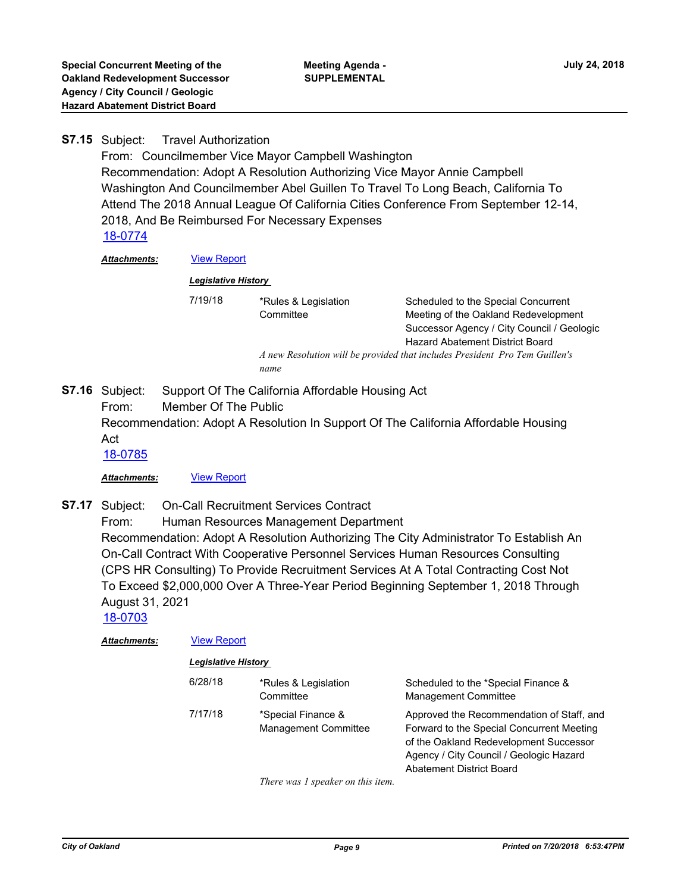#### **Travel Authorization S7.15**

From: Councilmember Vice Mayor Campbell Washington Recommendation: Adopt A Resolution Authorizing Vice Mayor Annie Campbell Washington And Councilmember Abel Guillen To Travel To Long Beach, California To Attend The 2018 Annual League Of California Cities Conference From September 12-14, 2018, And Be Reimbursed For Necessary Expenses [18-0774](http://oakland.legistar.com/gateway.aspx?m=l&id=/matter.aspx?key=29208)

#### *Attachments:* [View Report](http://oakland.legistar.com/gateway.aspx?M=F&ID=4c1bed86-e5b6-4cf6-9ebe-1e2db6738a1e.pdf)

*Legislative History* 

7/19/18 \*Rules & Legislation **Committee** 

Scheduled to the Special Concurrent Meeting of the Oakland Redevelopment Successor Agency / City Council / Geologic Hazard Abatement District Board

*A new Resolution will be provided that includes President Pro Tem Guillen's name*

Support Of The California Affordable Housing Act From: Member Of The Public Recommendation: Adopt A Resolution In Support Of The California Affordable Housing Act **S7.16** [18-0785](http://oakland.legistar.com/gateway.aspx?m=l&id=/matter.aspx?key=29218)

## *Attachments:* [View Report](http://oakland.legistar.com/gateway.aspx?M=F&ID=b2b45e6d-6408-4a30-871d-bdc3363785d9.pdf)

**On-Call Recruitment Services Contract S7.17**

From: Human Resources Management Department

Recommendation: Adopt A Resolution Authorizing The City Administrator To Establish An On-Call Contract With Cooperative Personnel Services Human Resources Consulting (CPS HR Consulting) To Provide Recruitment Services At A Total Contracting Cost Not To Exceed \$2,000,000 Over A Three-Year Period Beginning September 1, 2018 Through August 31, 2021

[18-0703](http://oakland.legistar.com/gateway.aspx?m=l&id=/matter.aspx?key=29137)

| Attachments: | <b>View Report</b><br><b>Legislative History</b> |                                                   |                                                                                                                                                                                                                |  |
|--------------|--------------------------------------------------|---------------------------------------------------|----------------------------------------------------------------------------------------------------------------------------------------------------------------------------------------------------------------|--|
|              |                                                  |                                                   |                                                                                                                                                                                                                |  |
|              | 7/17/18                                          | *Special Finance &<br><b>Management Committee</b> | Approved the Recommendation of Staff, and<br>Forward to the Special Concurrent Meeting<br>of the Oakland Redevelopment Successor<br>Agency / City Council / Geologic Hazard<br><b>Abatement District Board</b> |  |
|              |                                                  | $\tau$ $\tau$ $\tau$ $\tau$ $\tau$ $\tau$         |                                                                                                                                                                                                                |  |

*There was 1 speaker on this item.*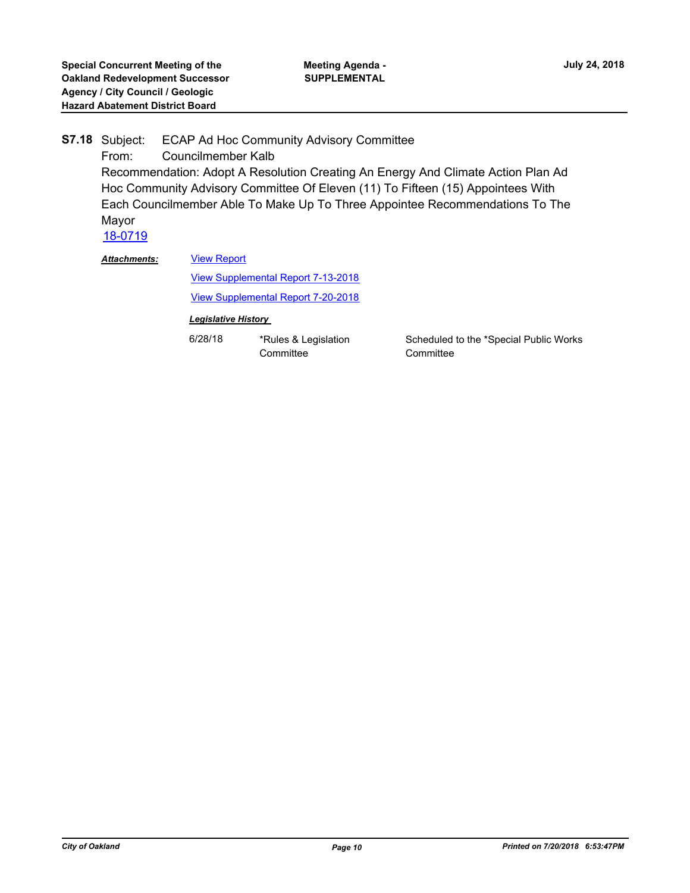ECAP Ad Hoc Community Advisory Committee From: Councilmember Kalb Recommendation: Adopt A Resolution Creating An Energy And Climate Action Plan Ad Hoc Community Advisory Committee Of Eleven (11) To Fifteen (15) Appointees With Each Councilmember Able To Make Up To Three Appointee Recommendations To The Mayor **S7.18** [18-0719](http://oakland.legistar.com/gateway.aspx?m=l&id=/matter.aspx?key=29153)

*Attachments:*

### [View Report](http://oakland.legistar.com/gateway.aspx?M=F&ID=b9c8f1d9-d351-4810-8831-49cb9632fa28.pdf)

[View Supplemental Report 7-13-2018](http://oakland.legistar.com/gateway.aspx?M=F&ID=1651a4d4-dc9b-4762-8e74-2178386396f0.pdf) [View Supplemental Report 7-20-2018](http://oakland.legistar.com/gateway.aspx?M=F&ID=2eb8a0be-ef00-49e6-8403-4fe532ab767c.pdf)

#### *Legislative History*

6/28/18 \*Rules & Legislation **Committee** 

Scheduled to the \*Special Public Works **Committee**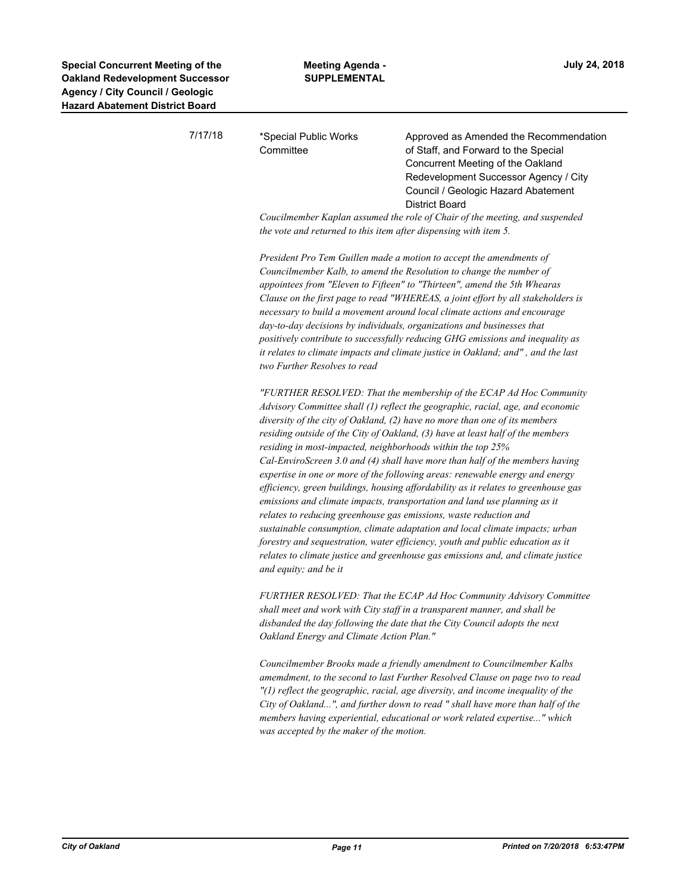| strict Board |                                                                                      |                                                                                                                                                                                                                                                                                                                                                                                                                                                                                                                                                                                                                                                                                                                                                                                                                                                                                                                                                                                     |
|--------------|--------------------------------------------------------------------------------------|-------------------------------------------------------------------------------------------------------------------------------------------------------------------------------------------------------------------------------------------------------------------------------------------------------------------------------------------------------------------------------------------------------------------------------------------------------------------------------------------------------------------------------------------------------------------------------------------------------------------------------------------------------------------------------------------------------------------------------------------------------------------------------------------------------------------------------------------------------------------------------------------------------------------------------------------------------------------------------------|
| 7/17/18      | *Special Public Works<br>Committee                                                   | Approved as Amended the Recommendation<br>of Staff, and Forward to the Special<br>Concurrent Meeting of the Oakland<br>Redevelopment Successor Agency / City<br>Council / Geologic Hazard Abatement                                                                                                                                                                                                                                                                                                                                                                                                                                                                                                                                                                                                                                                                                                                                                                                 |
|              | the vote and returned to this item after dispensing with item 5.                     | <b>District Board</b><br>Coucilmember Kaplan assumed the role of Chair of the meeting, and suspended                                                                                                                                                                                                                                                                                                                                                                                                                                                                                                                                                                                                                                                                                                                                                                                                                                                                                |
|              | two Further Resolves to read                                                         | President Pro Tem Guillen made a motion to accept the amendments of<br>Councilmember Kalb, to amend the Resolution to change the number of<br>appointees from "Eleven to Fifteen" to "Thirteen", amend the 5th Whearas<br>Clause on the first page to read "WHEREAS, a joint effort by all stakeholders is<br>necessary to build a movement around local climate actions and encourage<br>day-to-day decisions by individuals, organizations and businesses that<br>positively contribute to successfully reducing GHG emissions and inequality as<br>it relates to climate impacts and climate justice in Oakland; and", and the last                                                                                                                                                                                                                                                                                                                                              |
|              | residing in most-impacted, neighborhoods within the top 25%<br>and equity; and be it | "FURTHER RESOLVED: That the membership of the ECAP Ad Hoc Community<br>Advisory Committee shall (1) reflect the geographic, racial, age, and economic<br>diversity of the city of Oakland, (2) have no more than one of its members<br>residing outside of the City of Oakland, (3) have at least half of the members<br>Cal-EnviroScreen 3.0 and (4) shall have more than half of the members having<br>expertise in one or more of the following areas: renewable energy and energy<br>efficiency, green buildings, housing affordability as it relates to greenhouse gas<br>emissions and climate impacts, transportation and land use planning as it<br>relates to reducing greenhouse gas emissions, waste reduction and<br>sustainable consumption, climate adaptation and local climate impacts; urban<br>forestry and sequestration, water efficiency, youth and public education as it<br>relates to climate justice and greenhouse gas emissions and, and climate justice |
|              | Oakland Energy and Climate Action Plan."                                             | FURTHER RESOLVED: That the ECAP Ad Hoc Community Advisory Committee<br>shall meet and work with City staff in a transparent manner, and shall be<br>disbanded the day following the date that the City Council adopts the next                                                                                                                                                                                                                                                                                                                                                                                                                                                                                                                                                                                                                                                                                                                                                      |
|              |                                                                                      | Councilmember Brooks made a friendly amendment to Councilmember Kalbs<br>amemdment, to the second to last Further Resolved Clause on page two to read<br>"(1) reflect the geographic, racial, age diversity, and income inequality of the<br>City of Oakland", and further down to read " shall have more than half of the<br>members having experiential, educational or work related expertise" which                                                                                                                                                                                                                                                                                                                                                                                                                                                                                                                                                                             |

*was accepted by the maker of the motion.*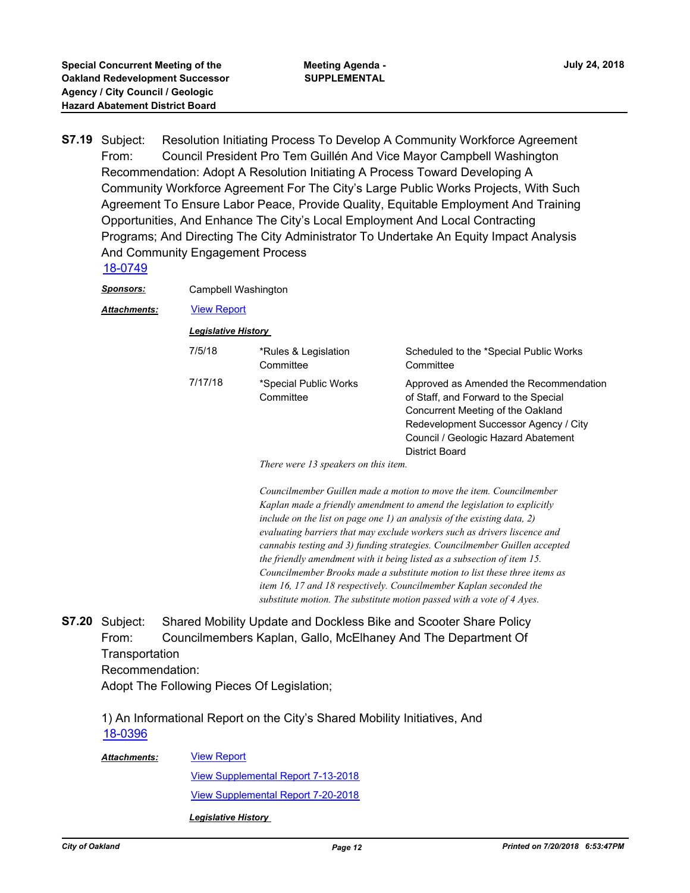Resolution Initiating Process To Develop A Community Workforce Agreement From: Council President Pro Tem Guillén And Vice Mayor Campbell Washington Recommendation: Adopt A Resolution Initiating A Process Toward Developing A Community Workforce Agreement For The City's Large Public Works Projects, With Such Agreement To Ensure Labor Peace, Provide Quality, Equitable Employment And Training Opportunities, And Enhance The City's Local Employment And Local Contracting Programs; And Directing The City Administrator To Undertake An Equity Impact Analysis And Community Engagement Process **S7.19**

[18-0749](http://oakland.legistar.com/gateway.aspx?m=l&id=/matter.aspx?key=29183)

*Sponsors:* Campbell Washington

*Attachments:* [View Report](http://oakland.legistar.com/gateway.aspx?M=F&ID=17065705-1baf-4ae6-bbb2-74885aafdcc7.pdf)

*Legislative History* 

| 7/5/18  | *Rules & Legislation<br>Committee  | Scheduled to the *Special Public Works<br>Committee                                                                                                                                                                   |
|---------|------------------------------------|-----------------------------------------------------------------------------------------------------------------------------------------------------------------------------------------------------------------------|
| 7/17/18 | *Special Public Works<br>Committee | Approved as Amended the Recommendation<br>of Staff, and Forward to the Special<br>Concurrent Meeting of the Oakland<br>Redevelopment Successor Agency / City<br>Council / Geologic Hazard Abatement<br>District Board |

*There were 13 speakers on this item.*

*Councilmember Guillen made a motion to move the item. Councilmember Kaplan made a friendly amendment to amend the legislation to explicitly include on the list on page one 1) an analysis of the existing data, 2) evaluating barriers that may exclude workers such as drivers liscence and cannabis testing and 3) funding strategies. Councilmember Guillen accepted the friendly amendment with it being listed as a subsection of item 15. Councilmember Brooks made a substitute motion to list these three items as item 16, 17 and 18 respectively. Councilmember Kaplan seconded the substitute motion. The substitute motion passed with a vote of 4 Ayes.*

Shared Mobility Update and Dockless Bike and Scooter Share Policy From: Councilmembers Kaplan, Gallo, McElhaney And The Department Of **Transportation** Recommendation: Adopt The Following Pieces Of Legislation; **S7.20**

1) An Informational Report on the City's Shared Mobility Initiatives, And [18-0396](http://oakland.legistar.com/gateway.aspx?m=l&id=/matter.aspx?key=28833)

#### [View Report](http://oakland.legistar.com/gateway.aspx?M=F&ID=d870dd9b-e435-4412-a5d5-8f6cd8e8bb8e.pdf) *Attachments:*

[View Supplemental Report 7-13-2018](http://oakland.legistar.com/gateway.aspx?M=F&ID=fd04abdd-83ef-4ddb-b43c-8cd2b0dd4d52.pdf) [View Supplemental Report 7-20-2018](http://oakland.legistar.com/gateway.aspx?M=F&ID=1b08ddc9-105b-4a8c-97f1-5de906cf5d7f.pdf)

*Legislative History*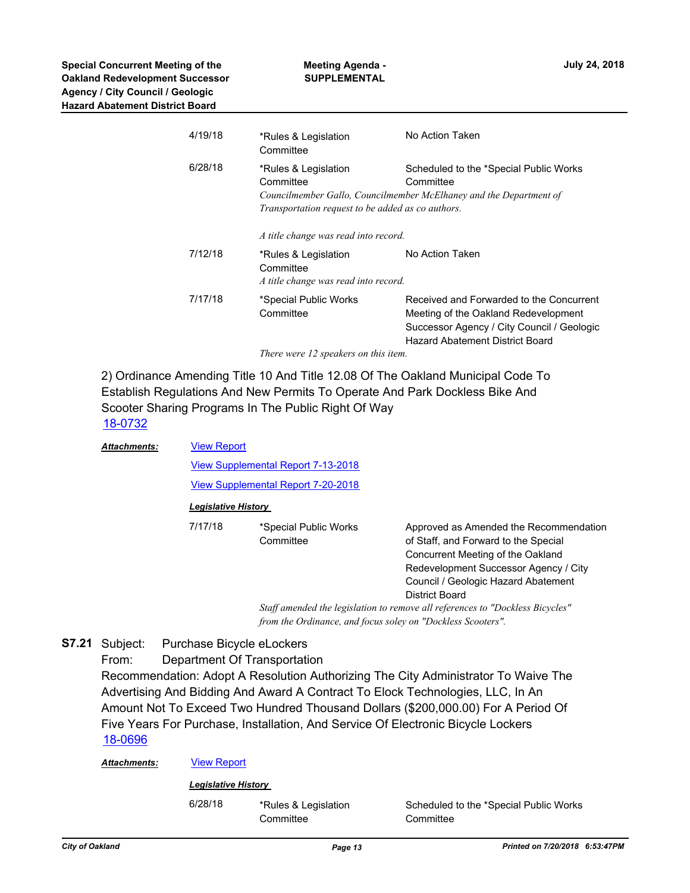| 4/19/18 | *Rules & Legislation<br>Committee                                                      | No Action Taken                                                                                                                                                   |  |  |
|---------|----------------------------------------------------------------------------------------|-------------------------------------------------------------------------------------------------------------------------------------------------------------------|--|--|
| 6/28/18 | *Rules & Legislation<br>Committee<br>Transportation request to be added as co authors. | Scheduled to the *Special Public Works<br>Committee<br>Councilmember Gallo, Councilmember McElhaney and the Department of                                         |  |  |
|         | A title change was read into record.                                                   |                                                                                                                                                                   |  |  |
| 7/12/18 | *Rules & Legislation<br>Committee<br>A title change was read into record.              | No Action Taken                                                                                                                                                   |  |  |
| 7/17/18 | *Special Public Works<br>Committee                                                     | Received and Forwarded to the Concurrent<br>Meeting of the Oakland Redevelopment<br>Successor Agency / City Council / Geologic<br>Hazard Abatement District Board |  |  |
|         | There were 12 speakers on this item.                                                   |                                                                                                                                                                   |  |  |

2) Ordinance Amending Title 10 And Title 12.08 Of The Oakland Municipal Code To Establish Regulations And New Permits To Operate And Park Dockless Bike And Scooter Sharing Programs In The Public Right Of Way [18-0732](http://oakland.legistar.com/gateway.aspx?m=l&id=/matter.aspx?key=29166)

**Meeting Agenda - SUPPLEMENTAL**

| <b>Attachments:</b> | <b>View Report</b>                                                            |                       |                                        |
|---------------------|-------------------------------------------------------------------------------|-----------------------|----------------------------------------|
|                     | <b>View Supplemental Report 7-13-2018</b>                                     |                       |                                        |
|                     |                                                                               |                       |                                        |
|                     | <b>View Supplemental Report 7-20-2018</b><br><b>Legislative History</b>       |                       |                                        |
|                     |                                                                               |                       |                                        |
|                     | 7/17/18                                                                       | *Special Public Works | Approved as Amended the Recommendation |
|                     |                                                                               | Committee             | of Staff, and Forward to the Special   |
|                     |                                                                               |                       | Concurrent Meeting of the Oakland      |
|                     |                                                                               |                       | Redevelopment Successor Agency / City  |
|                     | Council / Geologic Hazard Abatement                                           |                       |                                        |
| District Board      |                                                                               |                       |                                        |
|                     | Staff amended the legislation to remove all references to "Dockless Bicycles" |                       |                                        |
|                     | from the Ordinance, and focus soley on "Dockless Scooters".                   |                       |                                        |

Purchase Bicycle eLockers **S7.21**

> From: Department Of Transportation Recommendation: Adopt A Resolution Authorizing The City Administrator To Waive The Advertising And Bidding And Award A Contract To Elock Technologies, LLC, In An Amount Not To Exceed Two Hundred Thousand Dollars (\$200,000.00) For A Period Of Five Years For Purchase, Installation, And Service Of Electronic Bicycle Lockers [18-0696](http://oakland.legistar.com/gateway.aspx?m=l&id=/matter.aspx?key=29130)

| Attachments: | <b>View Report</b> |
|--------------|--------------------|
|              |                    |

#### *Legislative History*

6/28/18 \*Rules & Legislation **Committee** 

Scheduled to the \*Special Public Works **Committee**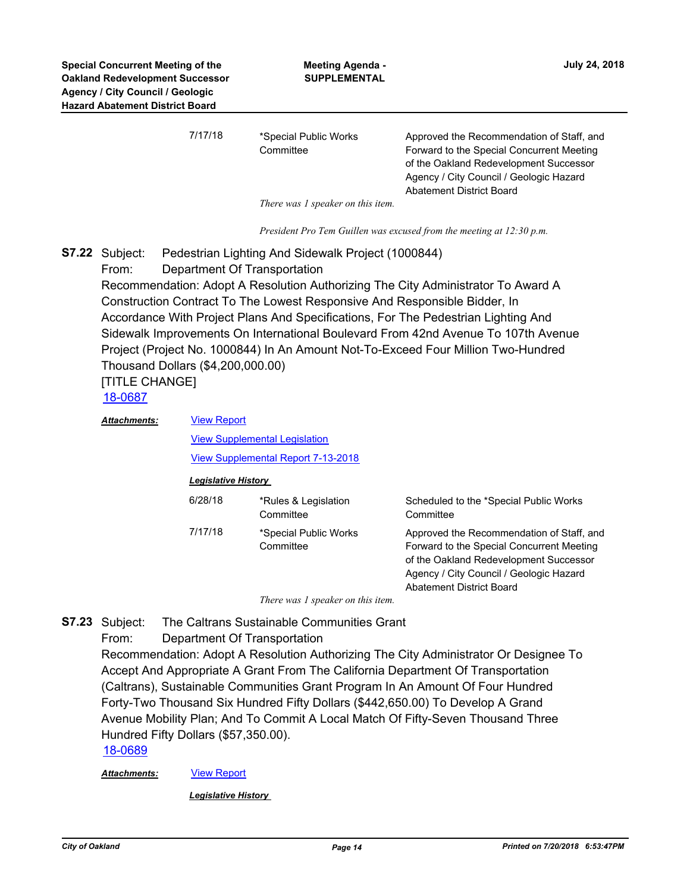| 7/17/18 | *Special Public Works            | Approved the Recommendation of Staff, and |
|---------|----------------------------------|-------------------------------------------|
|         | Committee                        | Forward to the Special Concurrent Meeting |
|         |                                  | of the Oakland Redevelopment Successor    |
|         |                                  | Agency / City Council / Geologic Hazard   |
|         |                                  | Abatement District Board                  |
|         | Thousansa Longalian on this item |                                           |

*There was 1 speaker on this item.*

*President Pro Tem Guillen was excused from the meeting at 12:30 p.m.*

Pedestrian Lighting And Sidewalk Project (1000844) **S7.22**

From: Department Of Transportation

Recommendation: Adopt A Resolution Authorizing The City Administrator To Award A Construction Contract To The Lowest Responsive And Responsible Bidder, In Accordance With Project Plans And Specifications, For The Pedestrian Lighting And Sidewalk Improvements On International Boulevard From 42nd Avenue To 107th Avenue Project (Project No. 1000844) In An Amount Not-To-Exceed Four Million Two-Hundred Thousand Dollars (\$4,200,000.00)

[TITLE CHANGE]

[18-0687](http://oakland.legistar.com/gateway.aspx?m=l&id=/matter.aspx?key=29121)

[View Report](http://oakland.legistar.com/gateway.aspx?M=F&ID=18af1145-cbb9-40e1-a59e-0042c8d9247c.pdf) [View Supplemental Legislation](http://oakland.legistar.com/gateway.aspx?M=F&ID=c2826104-f73c-4b65-8694-288c70feb59d.pdf) [View Supplemental Report 7-13-2018](http://oakland.legistar.com/gateway.aspx?M=F&ID=d2998f38-96ae-402c-8ebf-fb1a96cee091.pdf) *Attachments:*

#### *Legislative History*

| 6/28/18 | *Rules & Legislation<br>Committee  | Scheduled to the *Special Public Works<br>Committee                                                                                                                                                            |
|---------|------------------------------------|----------------------------------------------------------------------------------------------------------------------------------------------------------------------------------------------------------------|
| 7/17/18 | *Special Public Works<br>Committee | Approved the Recommendation of Staff, and<br>Forward to the Special Concurrent Meeting<br>of the Oakland Redevelopment Successor<br>Agency / City Council / Geologic Hazard<br><b>Abatement District Board</b> |

*There was 1 speaker on this item.*

The Caltrans Sustainable Communities Grant **S7.23**

From: Department Of Transportation

Recommendation: Adopt A Resolution Authorizing The City Administrator Or Designee To Accept And Appropriate A Grant From The California Department Of Transportation (Caltrans), Sustainable Communities Grant Program In An Amount Of Four Hundred Forty-Two Thousand Six Hundred Fifty Dollars (\$442,650.00) To Develop A Grand Avenue Mobility Plan; And To Commit A Local Match Of Fifty-Seven Thousand Three Hundred Fifty Dollars (\$57,350.00).

[18-0689](http://oakland.legistar.com/gateway.aspx?m=l&id=/matter.aspx?key=29123)

*Attachments:* [View Report](http://oakland.legistar.com/gateway.aspx?M=F&ID=76250e07-fcc5-4d51-9098-f64fbd4134c0.pdf)

*Legislative History*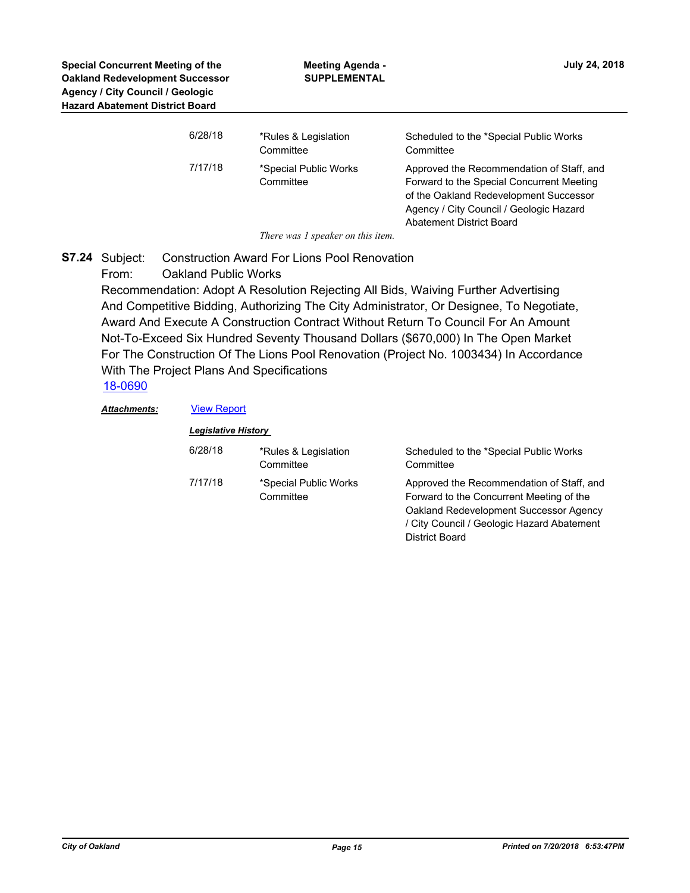| 6/28/18 | *Rules & Legislation<br>Committee  | Scheduled to the *Special Public Works<br>Committee                                                                                                                                                            |
|---------|------------------------------------|----------------------------------------------------------------------------------------------------------------------------------------------------------------------------------------------------------------|
| 7/17/18 | *Special Public Works<br>Committee | Approved the Recommendation of Staff, and<br>Forward to the Special Concurrent Meeting<br>of the Oakland Redevelopment Successor<br>Agency / City Council / Geologic Hazard<br><b>Abatement District Board</b> |

*There was 1 speaker on this item.*

Construction Award For Lions Pool Renovation From: Oakland Public Works **S7.24**

> Recommendation: Adopt A Resolution Rejecting All Bids, Waiving Further Advertising And Competitive Bidding, Authorizing The City Administrator, Or Designee, To Negotiate, Award And Execute A Construction Contract Without Return To Council For An Amount Not-To-Exceed Six Hundred Seventy Thousand Dollars (\$670,000) In The Open Market For The Construction Of The Lions Pool Renovation (Project No. 1003434) In Accordance With The Project Plans And Specifications

[18-0690](http://oakland.legistar.com/gateway.aspx?m=l&id=/matter.aspx?key=29124)

#### Attachments: **[View Report](http://oakland.legistar.com/gateway.aspx?M=F&ID=5196f0d6-5f42-4a4a-8cb2-9bf7b29a6164.pdf)**

| <b>Legislative History</b> |                                    |                                                                                                                                                                                                 |
|----------------------------|------------------------------------|-------------------------------------------------------------------------------------------------------------------------------------------------------------------------------------------------|
| 6/28/18                    | *Rules & Legislation<br>Committee  | Scheduled to the *Special Public Works<br>Committee                                                                                                                                             |
| 7/17/18                    | *Special Public Works<br>Committee | Approved the Recommendation of Staff, and<br>Forward to the Concurrent Meeting of the<br>Oakland Redevelopment Successor Agency<br>/ City Council / Geologic Hazard Abatement<br>District Board |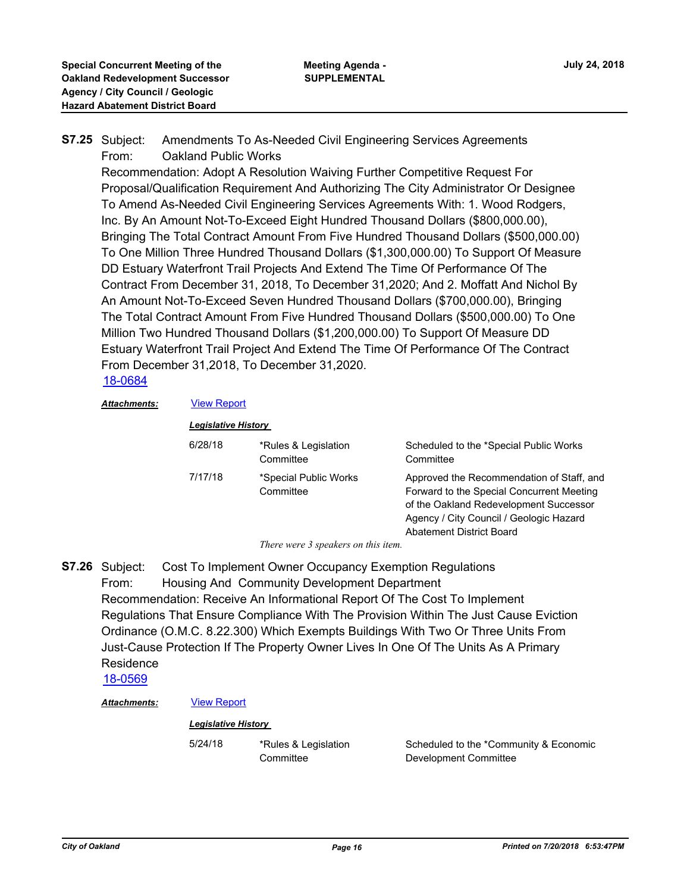#### Amendments To As-Needed Civil Engineering Services Agreements From: Oakland Public Works **S7.25**

Recommendation: Adopt A Resolution Waiving Further Competitive Request For Proposal/Qualification Requirement And Authorizing The City Administrator Or Designee To Amend As-Needed Civil Engineering Services Agreements With: 1. Wood Rodgers, Inc. By An Amount Not-To-Exceed Eight Hundred Thousand Dollars (\$800,000.00), Bringing The Total Contract Amount From Five Hundred Thousand Dollars (\$500,000.00) To One Million Three Hundred Thousand Dollars (\$1,300,000.00) To Support Of Measure DD Estuary Waterfront Trail Projects And Extend The Time Of Performance Of The Contract From December 31, 2018, To December 31,2020; And 2. Moffatt And Nichol By An Amount Not-To-Exceed Seven Hundred Thousand Dollars (\$700,000.00), Bringing The Total Contract Amount From Five Hundred Thousand Dollars (\$500,000.00) To One Million Two Hundred Thousand Dollars (\$1,200,000.00) To Support Of Measure DD Estuary Waterfront Trail Project And Extend The Time Of Performance Of The Contract From December 31,2018, To December 31,2020.

### [18-0684](http://oakland.legistar.com/gateway.aspx?m=l&id=/matter.aspx?key=29118)

*Attachments:* [View Report](http://oakland.legistar.com/gateway.aspx?M=F&ID=a7c64d54-265d-4763-b7a4-7371226c094b.pdf)

*Legislative History* 

| 6/28/18 | *Rules & Legislation<br>Committee  | Scheduled to the *Special Public Works<br>Committee                                                                                                                                                            |
|---------|------------------------------------|----------------------------------------------------------------------------------------------------------------------------------------------------------------------------------------------------------------|
| 7/17/18 | *Special Public Works<br>Committee | Approved the Recommendation of Staff, and<br>Forward to the Special Concurrent Meeting<br>of the Oakland Redevelopment Successor<br>Agency / City Council / Geologic Hazard<br><b>Abatement District Board</b> |

*There were 3 speakers on this item.*

Cost To Implement Owner Occupancy Exemption Regulations From: Housing And Community Development Department Recommendation: Receive An Informational Report Of The Cost To Implement Regulations That Ensure Compliance With The Provision Within The Just Cause Eviction Ordinance (O.M.C. 8.22.300) Which Exempts Buildings With Two Or Three Units From Just-Cause Protection If The Property Owner Lives In One Of The Units As A Primary Residence **S7.26**

[18-0569](http://oakland.legistar.com/gateway.aspx?m=l&id=/matter.aspx?key=29004)

#### *Attachments:* [View Report](http://oakland.legistar.com/gateway.aspx?M=F&ID=6335a2c4-d39f-4e0e-bdb1-2ebda92638d9.pdf)

#### *Legislative History*

5/24/18 \*Rules & Legislation **Committee** 

Scheduled to the \*Community & Economic Development Committee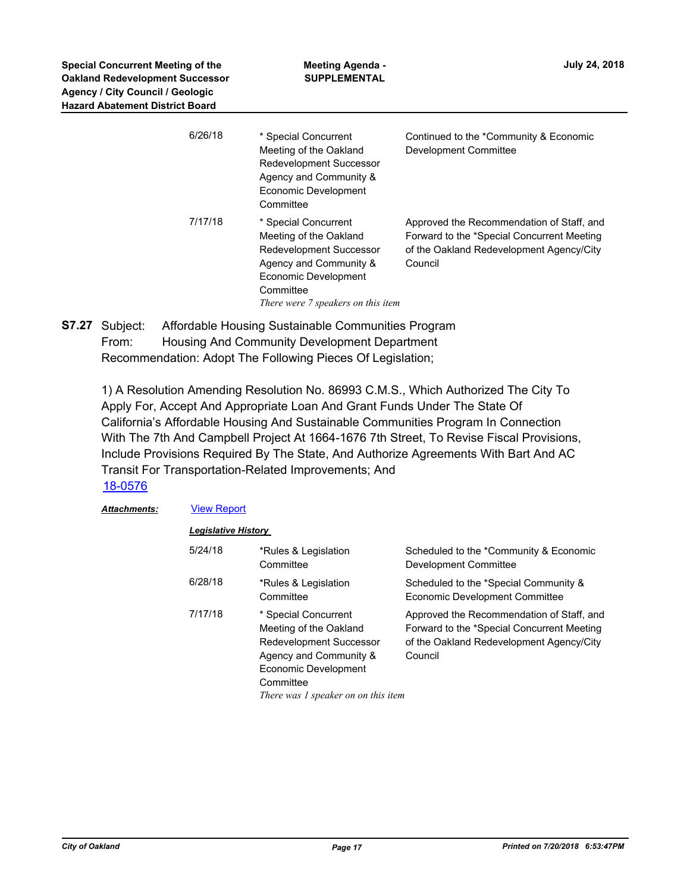| 6/26/18 | * Special Concurrent<br>Meeting of the Oakland<br><b>Redevelopment Successor</b><br>Agency and Community &<br>Economic Development<br>Committee                                       | Continued to the *Community & Economic<br>Development Committee                                                                                |
|---------|---------------------------------------------------------------------------------------------------------------------------------------------------------------------------------------|------------------------------------------------------------------------------------------------------------------------------------------------|
| 7/17/18 | * Special Concurrent<br>Meeting of the Oakland<br><b>Redevelopment Successor</b><br>Agency and Community &<br>Economic Development<br>Committee<br>There were 7 speakers on this item | Approved the Recommendation of Staff, and<br>Forward to the *Special Concurrent Meeting<br>of the Oakland Redevelopment Agency/City<br>Council |

Affordable Housing Sustainable Communities Program From: Housing And Community Development Department Recommendation: Adopt The Following Pieces Of Legislation; **S7.27**

1) A Resolution Amending Resolution No. 86993 C.M.S., Which Authorized The City To Apply For, Accept And Appropriate Loan And Grant Funds Under The State Of California's Affordable Housing And Sustainable Communities Program In Connection With The 7th And Campbell Project At 1664-1676 7th Street, To Revise Fiscal Provisions, Include Provisions Required By The State, And Authorize Agreements With Bart And AC Transit For Transportation-Related Improvements; And [18-0576](http://oakland.legistar.com/gateway.aspx?m=l&id=/matter.aspx?key=29011)

### *Attachments:* [View Report](http://oakland.legistar.com/gateway.aspx?M=F&ID=02b9e21f-889a-47b2-a5c4-0972ee9f5f11.pdf)

| 5/24/18 | *Rules & Legislation<br>Committee                                                                                                                                               | Scheduled to the *Community & Economic<br>Development Committee                                                                                |
|---------|---------------------------------------------------------------------------------------------------------------------------------------------------------------------------------|------------------------------------------------------------------------------------------------------------------------------------------------|
| 6/28/18 | *Rules & Legislation<br>Committee                                                                                                                                               | Scheduled to the *Special Community &<br>Economic Development Committee                                                                        |
| 7/17/18 | * Special Concurrent<br>Meeting of the Oakland<br>Redevelopment Successor<br>Agency and Community &<br>Economic Development<br>Committee<br>There was 1 speaker on on this item | Approved the Recommendation of Staff, and<br>Forward to the *Special Concurrent Meeting<br>of the Oakland Redevelopment Agency/City<br>Council |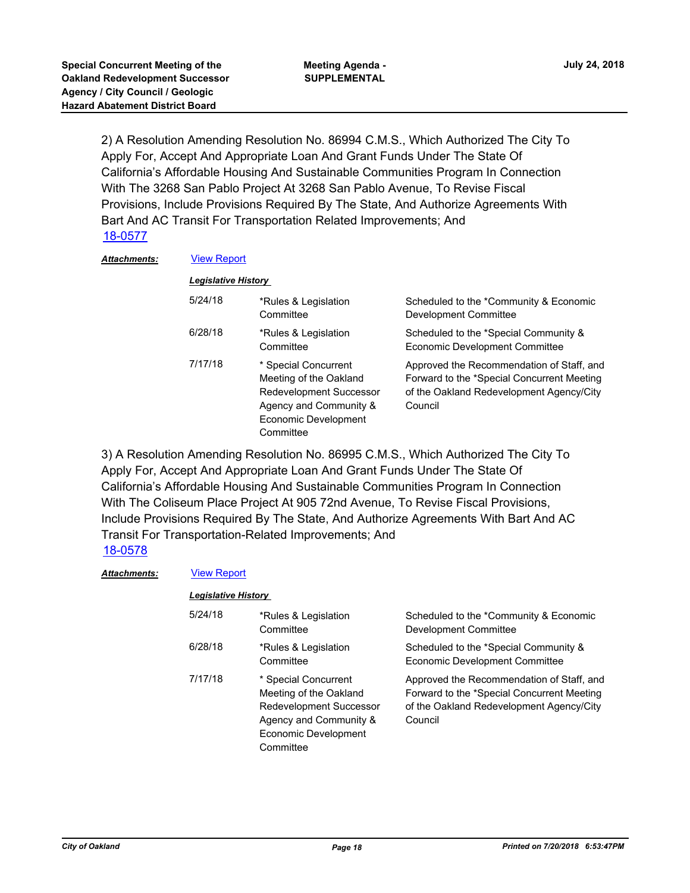2) A Resolution Amending Resolution No. 86994 C.M.S., Which Authorized The City To Apply For, Accept And Appropriate Loan And Grant Funds Under The State Of California's Affordable Housing And Sustainable Communities Program In Connection With The 3268 San Pablo Project At 3268 San Pablo Avenue, To Revise Fiscal Provisions, Include Provisions Required By The State, And Authorize Agreements With Bart And AC Transit For Transportation Related Improvements; And [18-0577](http://oakland.legistar.com/gateway.aspx?m=l&id=/matter.aspx?key=29012)

#### *Attachments:* [View Report](http://oakland.legistar.com/gateway.aspx?M=F&ID=ebc2e42a-8c3f-4087-b27a-b49cfb3cfd77.pdf)

| <b>Legislative History</b> |                                                                                                                                          |                                                                                                                                                |  |  |
|----------------------------|------------------------------------------------------------------------------------------------------------------------------------------|------------------------------------------------------------------------------------------------------------------------------------------------|--|--|
| 5/24/18                    | *Rules & Legislation<br>Committee                                                                                                        | Scheduled to the *Community & Economic<br>Development Committee                                                                                |  |  |
| 6/28/18                    | *Rules & Legislation<br>Committee                                                                                                        | Scheduled to the *Special Community &<br>Economic Development Committee                                                                        |  |  |
| 7/17/18                    | * Special Concurrent<br>Meeting of the Oakland<br>Redevelopment Successor<br>Agency and Community &<br>Economic Development<br>Committee | Approved the Recommendation of Staff, and<br>Forward to the *Special Concurrent Meeting<br>of the Oakland Redevelopment Agency/City<br>Council |  |  |

3) A Resolution Amending Resolution No. 86995 C.M.S., Which Authorized The City To Apply For, Accept And Appropriate Loan And Grant Funds Under The State Of California's Affordable Housing And Sustainable Communities Program In Connection With The Coliseum Place Project At 905 72nd Avenue, To Revise Fiscal Provisions, Include Provisions Required By The State, And Authorize Agreements With Bart And AC Transit For Transportation-Related Improvements; And

## [18-0578](http://oakland.legistar.com/gateway.aspx?m=l&id=/matter.aspx?key=29013)

#### Attachments: **[View Report](http://oakland.legistar.com/gateway.aspx?M=F&ID=00d4e315-3d70-445a-91f1-d6be31630108.pdf)**

### *Legislative History*

| 5/24/18 | *Rules & Legislation<br>Committee                                                                                                               | Scheduled to the *Community & Economic<br>Development Committee                                                                                |
|---------|-------------------------------------------------------------------------------------------------------------------------------------------------|------------------------------------------------------------------------------------------------------------------------------------------------|
| 6/28/18 | *Rules & Legislation<br>Committee                                                                                                               | Scheduled to the *Special Community &<br>Economic Development Committee                                                                        |
| 7/17/18 | * Special Concurrent<br>Meeting of the Oakland<br><b>Redevelopment Successor</b><br>Agency and Community &<br>Economic Development<br>Committee | Approved the Recommendation of Staff, and<br>Forward to the *Special Concurrent Meeting<br>of the Oakland Redevelopment Agency/City<br>Council |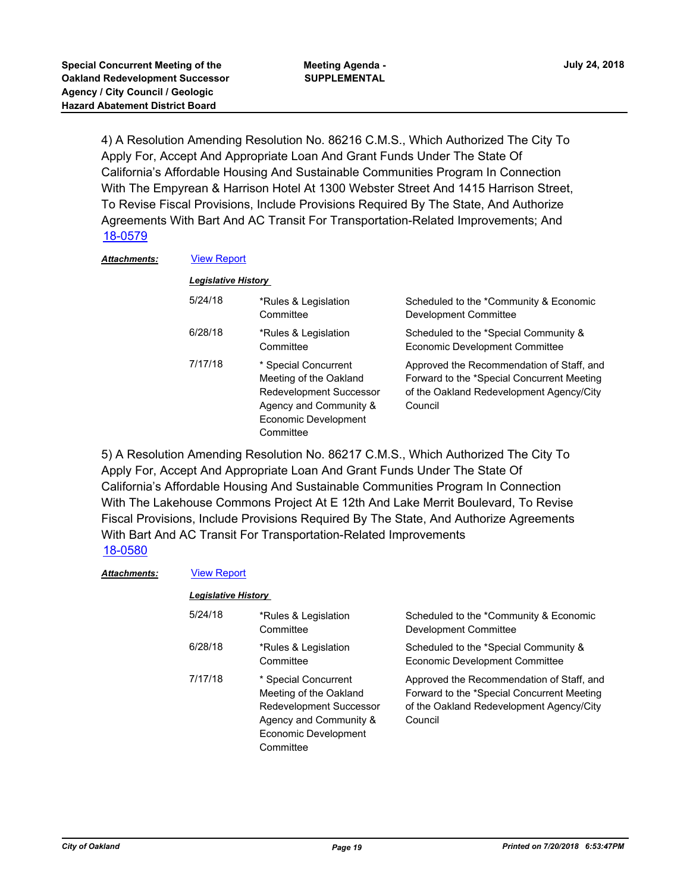4) A Resolution Amending Resolution No. 86216 C.M.S., Which Authorized The City To Apply For, Accept And Appropriate Loan And Grant Funds Under The State Of California's Affordable Housing And Sustainable Communities Program In Connection With The Empyrean & Harrison Hotel At 1300 Webster Street And 1415 Harrison Street, To Revise Fiscal Provisions, Include Provisions Required By The State, And Authorize Agreements With Bart And AC Transit For Transportation-Related Improvements; And [18-0579](http://oakland.legistar.com/gateway.aspx?m=l&id=/matter.aspx?key=29014)

#### *Attachments:* [View Report](http://oakland.legistar.com/gateway.aspx?M=F&ID=06c82c8e-0077-4024-a175-10a485dacd89.pdf)

| <b>Legislative History</b> |                                                                                                                                                 |                                                                                                                                                |  |  |
|----------------------------|-------------------------------------------------------------------------------------------------------------------------------------------------|------------------------------------------------------------------------------------------------------------------------------------------------|--|--|
| 5/24/18                    | *Rules & Legislation<br>Committee                                                                                                               | Scheduled to the *Community & Economic<br>Development Committee                                                                                |  |  |
| 6/28/18                    | *Rules & Legislation<br>Committee                                                                                                               | Scheduled to the *Special Community &<br>Economic Development Committee                                                                        |  |  |
| 7/17/18                    | * Special Concurrent<br>Meeting of the Oakland<br><b>Redevelopment Successor</b><br>Agency and Community &<br>Economic Development<br>Committee | Approved the Recommendation of Staff, and<br>Forward to the *Special Concurrent Meeting<br>of the Oakland Redevelopment Agency/City<br>Council |  |  |

5) A Resolution Amending Resolution No. 86217 C.M.S., Which Authorized The City To Apply For, Accept And Appropriate Loan And Grant Funds Under The State Of California's Affordable Housing And Sustainable Communities Program In Connection With The Lakehouse Commons Project At E 12th And Lake Merrit Boulevard, To Revise Fiscal Provisions, Include Provisions Required By The State, And Authorize Agreements With Bart And AC Transit For Transportation-Related Improvements [18-0580](http://oakland.legistar.com/gateway.aspx?m=l&id=/matter.aspx?key=29015)

#### Attachments: **[View Report](http://oakland.legistar.com/gateway.aspx?M=F&ID=7a7f7fb8-5add-4ca1-aa6f-824e8609c8ac.pdf)**

#### *Legislative History*

| 5/24/18 | *Rules & Legislation<br>Committee                                                                                                               | Scheduled to the *Community & Economic<br><b>Development Committee</b>                                                                         |
|---------|-------------------------------------------------------------------------------------------------------------------------------------------------|------------------------------------------------------------------------------------------------------------------------------------------------|
| 6/28/18 | *Rules & Legislation<br>Committee                                                                                                               | Scheduled to the *Special Community &<br>Economic Development Committee                                                                        |
| 7/17/18 | * Special Concurrent<br>Meeting of the Oakland<br><b>Redevelopment Successor</b><br>Agency and Community &<br>Economic Development<br>Committee | Approved the Recommendation of Staff, and<br>Forward to the *Special Concurrent Meeting<br>of the Oakland Redevelopment Agency/City<br>Council |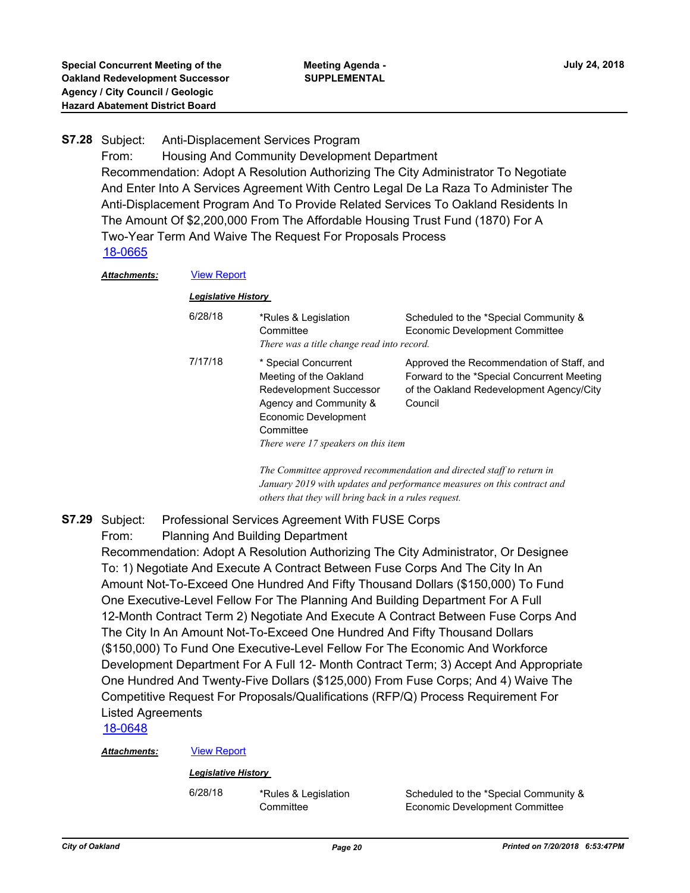### Anti-Displacement Services Program From: Housing And Community Development Department Recommendation: Adopt A Resolution Authorizing The City Administrator To Negotiate And Enter Into A Services Agreement With Centro Legal De La Raza To Administer The Anti-Displacement Program And To Provide Related Services To Oakland Residents In The Amount Of \$2,200,000 From The Affordable Housing Trust Fund (1870) For A Two-Year Term And Waive The Request For Proposals Process **S7.28** [18-0665](http://oakland.legistar.com/gateway.aspx?m=l&id=/matter.aspx?key=29099)

#### *Attachments:* [View Report](http://oakland.legistar.com/gateway.aspx?M=F&ID=c6b3305f-5fdb-40af-b6f3-0543452bc95b.pdf)

#### *Legislative History*

| 6/28/18 | *Rules & Legislation<br>Committee<br>There was a title change read into record.                                                                                                 | Scheduled to the *Special Community &<br><b>Economic Development Committee</b>                                                                 |
|---------|---------------------------------------------------------------------------------------------------------------------------------------------------------------------------------|------------------------------------------------------------------------------------------------------------------------------------------------|
| 7/17/18 | * Special Concurrent<br>Meeting of the Oakland<br>Redevelopment Successor<br>Agency and Community &<br>Economic Development<br>Committee<br>There were 17 speakers on this item | Approved the Recommendation of Staff, and<br>Forward to the *Special Concurrent Meeting<br>of the Oakland Redevelopment Agency/City<br>Council |

*The Committee approved recommendation and directed staff to return in January 2019 with updates and performance measures on this contract and others that they will bring back in a rules request.*

#### Professional Services Agreement With FUSE Corps **S7.29**

From: Planning And Building Department

Recommendation: Adopt A Resolution Authorizing The City Administrator, Or Designee To: 1) Negotiate And Execute A Contract Between Fuse Corps And The City In An Amount Not-To-Exceed One Hundred And Fifty Thousand Dollars (\$150,000) To Fund One Executive-Level Fellow For The Planning And Building Department For A Full 12-Month Contract Term 2) Negotiate And Execute A Contract Between Fuse Corps And The City In An Amount Not-To-Exceed One Hundred And Fifty Thousand Dollars (\$150,000) To Fund One Executive-Level Fellow For The Economic And Workforce Development Department For A Full 12- Month Contract Term; 3) Accept And Appropriate One Hundred And Twenty-Five Dollars (\$125,000) From Fuse Corps; And 4) Waive The Competitive Request For Proposals/Qualifications (RFP/Q) Process Requirement For Listed Agreements

[18-0648](http://oakland.legistar.com/gateway.aspx?m=l&id=/matter.aspx?key=29082)

#### *Attachments:* [View Report](http://oakland.legistar.com/gateway.aspx?M=F&ID=2fd75224-931e-4e9b-b5a2-c1c2f5b52dc6.pdf)

#### *Legislative History*

6/28/18 \*Rules & Legislation

**Committee** 

Scheduled to the \*Special Community & Economic Development Committee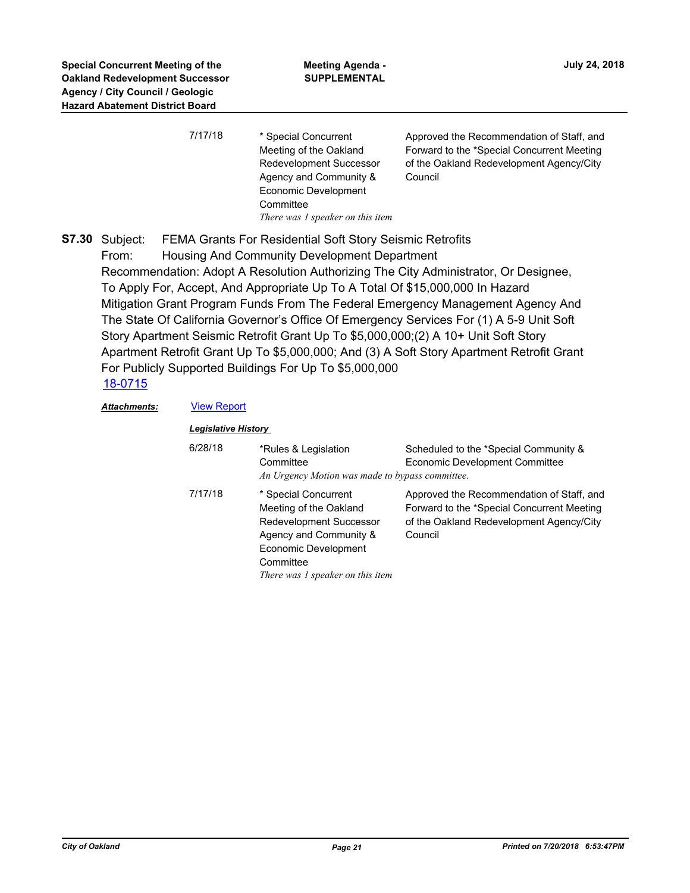| 7/17/18 | * Special Concurrent<br>Meeting of the Oakland<br><b>Redevelopment Successor</b> | Approved the Recommendation of Staff, and<br>Forward to the *Special Concurrent Meeting<br>of the Oakland Redevelopment Agency/City |
|---------|----------------------------------------------------------------------------------|-------------------------------------------------------------------------------------------------------------------------------------|
|         | Agency and Community &<br>Economic Development                                   | Council                                                                                                                             |
|         | Committee                                                                        |                                                                                                                                     |
|         | There was 1 speaker on this item                                                 |                                                                                                                                     |

FEMA Grants For Residential Soft Story Seismic Retrofits From: Housing And Community Development Department Recommendation: Adopt A Resolution Authorizing The City Administrator, Or Designee, To Apply For, Accept, And Appropriate Up To A Total Of \$15,000,000 In Hazard Mitigation Grant Program Funds From The Federal Emergency Management Agency And The State Of California Governor's Office Of Emergency Services For (1) A 5-9 Unit Soft Story Apartment Seismic Retrofit Grant Up To \$5,000,000;(2) A 10+ Unit Soft Story Apartment Retrofit Grant Up To \$5,000,000; And (3) A Soft Story Apartment Retrofit Grant For Publicly Supported Buildings For Up To \$5,000,000 **S7.30** [18-0715](http://oakland.legistar.com/gateway.aspx?m=l&id=/matter.aspx?key=29149)

# Attachments: **[View Report](http://oakland.legistar.com/gateway.aspx?M=F&ID=48129aba-0a0a-426d-a090-915d87aa498b.pdf)**

| <b>Legislative History</b> |                                                                                                                                                                                     |                                                                                                                                                |
|----------------------------|-------------------------------------------------------------------------------------------------------------------------------------------------------------------------------------|------------------------------------------------------------------------------------------------------------------------------------------------|
| 6/28/18                    | *Rules & Legislation<br>Committee<br>An Urgency Motion was made to bypass committee.                                                                                                | Scheduled to the *Special Community &<br><b>Economic Development Committee</b>                                                                 |
| 7/17/18                    | * Special Concurrent<br>Meeting of the Oakland<br><b>Redevelopment Successor</b><br>Agency and Community &<br>Economic Development<br>Committee<br>There was 1 speaker on this item | Approved the Recommendation of Staff, and<br>Forward to the *Special Concurrent Meeting<br>of the Oakland Redevelopment Agency/City<br>Council |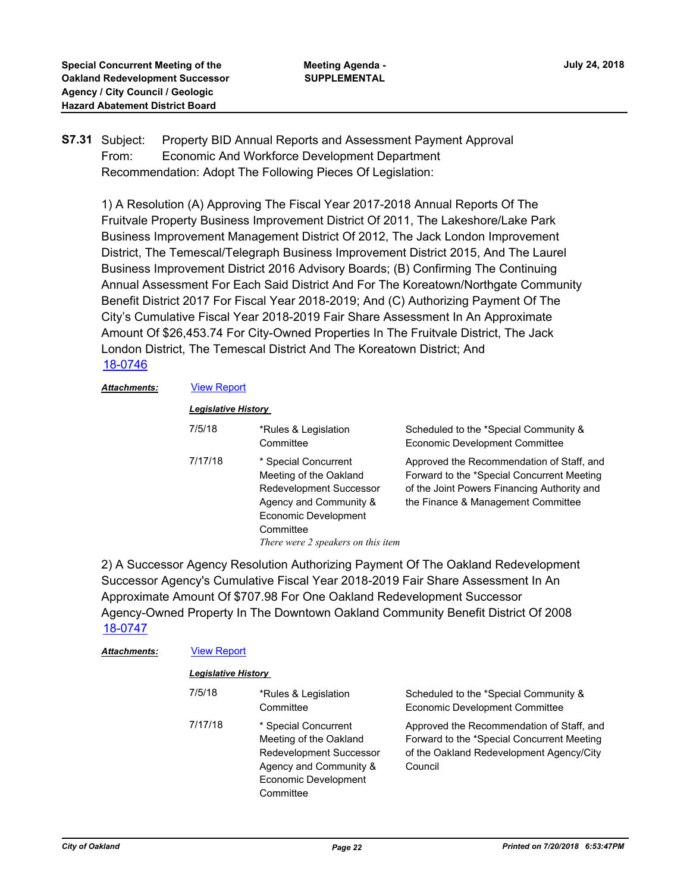#### Property BID Annual Reports and Assessment Payment Approval From: Economic And Workforce Development Department Recommendation: Adopt The Following Pieces Of Legislation: **S7.31**

1) A Resolution (A) Approving The Fiscal Year 2017-2018 Annual Reports Of The Fruitvale Property Business Improvement District Of 2011, The Lakeshore/Lake Park Business Improvement Management District Of 2012, The Jack London Improvement District, The Temescal/Telegraph Business Improvement District 2015, And The Laurel Business Improvement District 2016 Advisory Boards; (B) Confirming The Continuing Annual Assessment For Each Said District And For The Koreatown/Northgate Community Benefit District 2017 For Fiscal Year 2018-2019; And (C) Authorizing Payment Of The City's Cumulative Fiscal Year 2018-2019 Fair Share Assessment In An Approximate Amount Of \$26,453.74 For City-Owned Properties In The Fruitvale District, The Jack London District, The Temescal District And The Koreatown District; And [18-0746](http://oakland.legistar.com/gateway.aspx?m=l&id=/matter.aspx?key=29180)

### Attachments: **[View Report](http://oakland.legistar.com/gateway.aspx?M=F&ID=97afe92d-0a56-452b-8809-da6a251d0288.pdf)**

### *Legislative History*

| 7/5/18  | *Rules & Legislation<br>Committee                                                                                                                                                     | Scheduled to the *Special Community &<br>Economic Development Committee                                                                                                      |
|---------|---------------------------------------------------------------------------------------------------------------------------------------------------------------------------------------|------------------------------------------------------------------------------------------------------------------------------------------------------------------------------|
| 7/17/18 | * Special Concurrent<br>Meeting of the Oakland<br><b>Redevelopment Successor</b><br>Agency and Community &<br>Economic Development<br>Committee<br>There were 2 speakers on this item | Approved the Recommendation of Staff, and<br>Forward to the *Special Concurrent Meeting<br>of the Joint Powers Financing Authority and<br>the Finance & Management Committee |

2) A Successor Agency Resolution Authorizing Payment Of The Oakland Redevelopment Successor Agency's Cumulative Fiscal Year 2018-2019 Fair Share Assessment In An Approximate Amount Of \$707.98 For One Oakland Redevelopment Successor Agency-Owned Property In The Downtown Oakland Community Benefit District Of 2008 [18-0747](http://oakland.legistar.com/gateway.aspx?m=l&id=/matter.aspx?key=29181)

| Attachments: | <b>View Report</b><br><b>Legislative History</b> |                                                                                                                                          |                                                                                                                                                |  |
|--------------|--------------------------------------------------|------------------------------------------------------------------------------------------------------------------------------------------|------------------------------------------------------------------------------------------------------------------------------------------------|--|
|              |                                                  |                                                                                                                                          |                                                                                                                                                |  |
|              | 7/5/18                                           | *Rules & Legislation<br>Committee                                                                                                        | Scheduled to the *Special Community &<br>Economic Development Committee                                                                        |  |
|              | 7/17/18                                          | * Special Concurrent<br>Meeting of the Oakland<br>Redevelopment Successor<br>Agency and Community &<br>Economic Development<br>Committee | Approved the Recommendation of Staff, and<br>Forward to the *Special Concurrent Meeting<br>of the Oakland Redevelopment Agency/City<br>Council |  |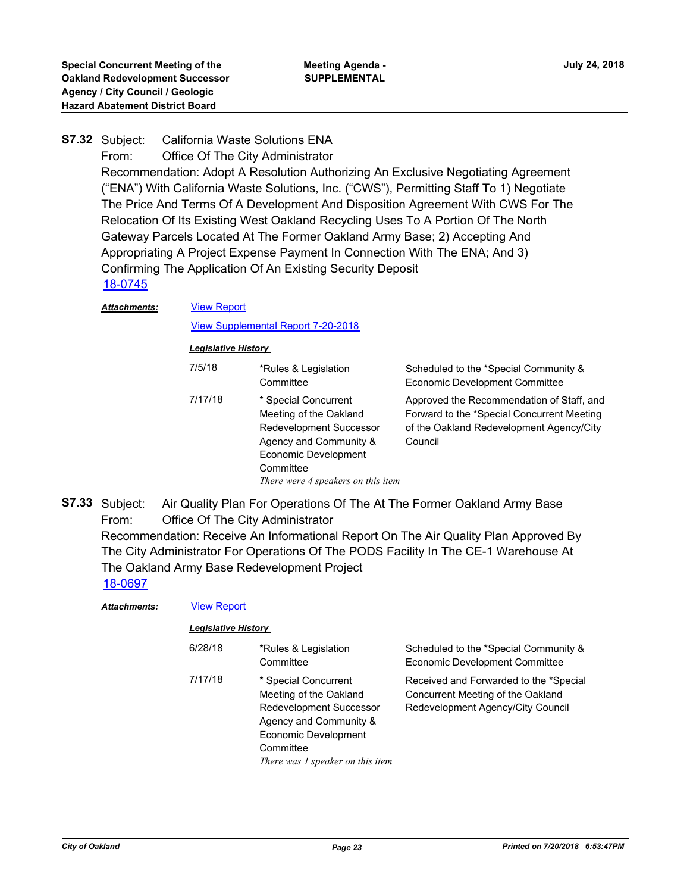#### California Waste Solutions ENA **S7.32**

From: Office Of The City Administrator

Recommendation: Adopt A Resolution Authorizing An Exclusive Negotiating Agreement ("ENA") With California Waste Solutions, Inc. ("CWS"), Permitting Staff To 1) Negotiate The Price And Terms Of A Development And Disposition Agreement With CWS For The Relocation Of Its Existing West Oakland Recycling Uses To A Portion Of The North Gateway Parcels Located At The Former Oakland Army Base; 2) Accepting And Appropriating A Project Expense Payment In Connection With The ENA; And 3) Confirming The Application Of An Existing Security Deposit [18-0745](http://oakland.legistar.com/gateway.aspx?m=l&id=/matter.aspx?key=29179)

#### *Attachments:*

#### [View Supplemental Report 7-20-2018](http://oakland.legistar.com/gateway.aspx?M=F&ID=8a96c4c1-2536-41d7-b3dc-d306a47eb405.pdf)

#### *Legislative History*

[View Report](http://oakland.legistar.com/gateway.aspx?M=F&ID=0daabfbe-df21-4927-8312-4380e8ecb3bb.pdf)

| 7/5/18  | *Rules & Legislation<br>Committee                                                                                                                                                     | Scheduled to the *Special Community &<br><b>Economic Development Committee</b>                                                                 |
|---------|---------------------------------------------------------------------------------------------------------------------------------------------------------------------------------------|------------------------------------------------------------------------------------------------------------------------------------------------|
| 7/17/18 | * Special Concurrent<br>Meeting of the Oakland<br><b>Redevelopment Successor</b><br>Agency and Community &<br>Economic Development<br>Committee<br>There were 4 speakers on this item | Approved the Recommendation of Staff, and<br>Forward to the *Special Concurrent Meeting<br>of the Oakland Redevelopment Agency/City<br>Council |

Air Quality Plan For Operations Of The At The Former Oakland Army Base From: Office Of The City Administrator Recommendation: Receive An Informational Report On The Air Quality Plan Approved By The City Administrator For Operations Of The PODS Facility In The CE-1 Warehouse At The Oakland Army Base Redevelopment Project **S7.33** [18-0697](http://oakland.legistar.com/gateway.aspx?m=l&id=/matter.aspx?key=29131)

| <b>Attachments:</b> | <b>View Report</b><br><b>Legislative History</b> |                                                                                                                                                                              |                                                                                                                  |  |
|---------------------|--------------------------------------------------|------------------------------------------------------------------------------------------------------------------------------------------------------------------------------|------------------------------------------------------------------------------------------------------------------|--|
|                     |                                                  |                                                                                                                                                                              |                                                                                                                  |  |
|                     | 6/28/18                                          | *Rules & Legislation<br>Committee                                                                                                                                            | Scheduled to the *Special Community &<br>Economic Development Committee                                          |  |
|                     | 7/17/18                                          | * Special Concurrent<br>Meeting of the Oakland<br>Redevelopment Successor<br>Agency and Community &<br>Economic Development<br>Committee<br>There was 1 speaker on this item | Received and Forwarded to the *Special<br>Concurrent Meeting of the Oakland<br>Redevelopment Agency/City Council |  |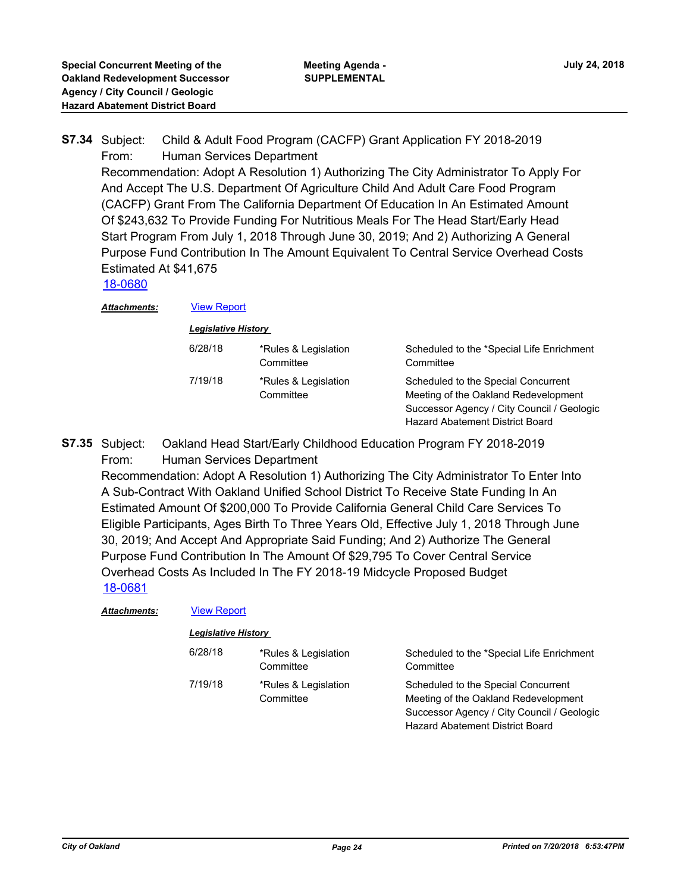#### Child & Adult Food Program (CACFP) Grant Application FY 2018-2019 From: Human Services Department **S7.34**

Recommendation: Adopt A Resolution 1) Authorizing The City Administrator To Apply For And Accept The U.S. Department Of Agriculture Child And Adult Care Food Program (CACFP) Grant From The California Department Of Education In An Estimated Amount Of \$243,632 To Provide Funding For Nutritious Meals For The Head Start/Early Head Start Program From July 1, 2018 Through June 30, 2019; And 2) Authorizing A General Purpose Fund Contribution In The Amount Equivalent To Central Service Overhead Costs Estimated At \$41,675

[18-0680](http://oakland.legistar.com/gateway.aspx?m=l&id=/matter.aspx?key=29114)

*Attachments:* [View Report](http://oakland.legistar.com/gateway.aspx?M=F&ID=0bbbe76a-f93c-4648-8ab7-887a0fd46795.pdf)

#### *Legislative History*

| Scheduled to the *Special Life Enrichment<br>Committee                                                                                                       |
|--------------------------------------------------------------------------------------------------------------------------------------------------------------|
| Scheduled to the Special Concurrent<br>Meeting of the Oakland Redevelopment<br>Successor Agency / City Council / Geologic<br>Hazard Abatement District Board |
| *Rules & Legislation<br>Committee<br>*Rules & Legislation<br>Committee                                                                                       |

Oakland Head Start/Early Childhood Education Program FY 2018-2019 From: Human Services Department **S7.35**

Recommendation: Adopt A Resolution 1) Authorizing The City Administrator To Enter Into A Sub-Contract With Oakland Unified School District To Receive State Funding In An Estimated Amount Of \$200,000 To Provide California General Child Care Services To Eligible Participants, Ages Birth To Three Years Old, Effective July 1, 2018 Through June 30, 2019; And Accept And Appropriate Said Funding; And 2) Authorize The General Purpose Fund Contribution In The Amount Of \$29,795 To Cover Central Service Overhead Costs As Included In The FY 2018-19 Midcycle Proposed Budget [18-0681](http://oakland.legistar.com/gateway.aspx?m=l&id=/matter.aspx?key=29115)

| <b>Attachments:</b> | <b>View Report</b>         |                                   |                                                                             |  |  |
|---------------------|----------------------------|-----------------------------------|-----------------------------------------------------------------------------|--|--|
|                     | <b>Legislative History</b> |                                   |                                                                             |  |  |
|                     | 6/28/18                    | *Rules & Legislation<br>Committee | Scheduled to the *Special Life Enrichment<br>Committee                      |  |  |
|                     | 7/19/18                    | *Rules & Legislation<br>Committee | Scheduled to the Special Concurrent<br>Meeting of the Oakland Redevelopment |  |  |

Successor Agency / City Council / Geologic

Hazard Abatement District Board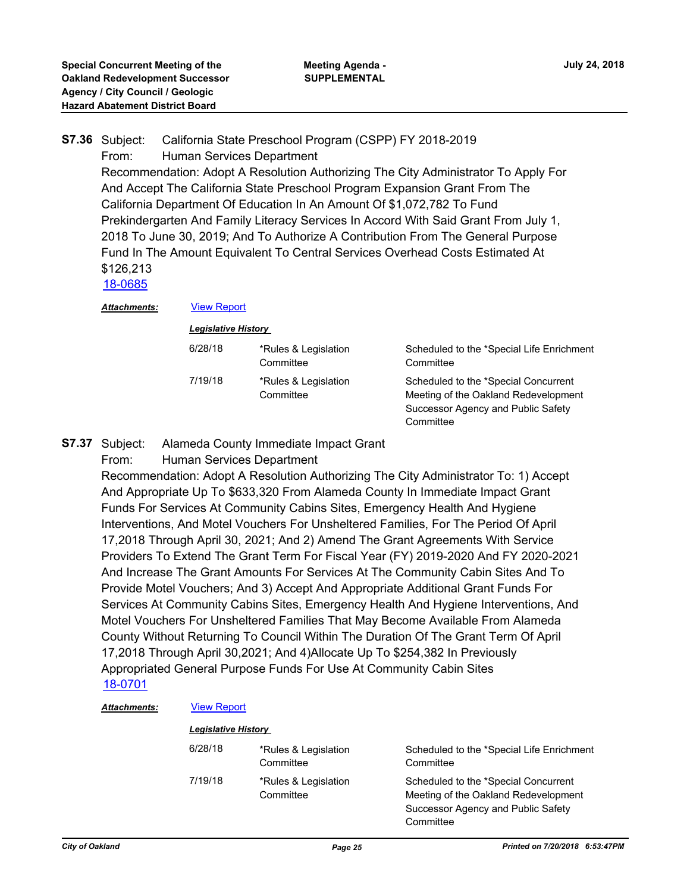## California State Preschool Program (CSPP) FY 2018-2019 From: Human Services Department Recommendation: Adopt A Resolution Authorizing The City Administrator To Apply For And Accept The California State Preschool Program Expansion Grant From The California Department Of Education In An Amount Of \$1,072,782 To Fund Prekindergarten And Family Literacy Services In Accord With Said Grant From July 1, 2018 To June 30, 2019; And To Authorize A Contribution From The General Purpose Fund In The Amount Equivalent To Central Services Overhead Costs Estimated At \$126,213 **S7.36** [18-0685](http://oakland.legistar.com/gateway.aspx?m=l&id=/matter.aspx?key=29119)

*Attachments:* [View Report](http://oakland.legistar.com/gateway.aspx?M=F&ID=f92e2afe-58e2-448e-81d9-6bcb694db29d.pdf)

#### *Legislative History*

| 6/28/18 | *Rules & Legislation<br>Committee | Scheduled to the *Special Life Enrichment<br>Committee                                                                          |
|---------|-----------------------------------|---------------------------------------------------------------------------------------------------------------------------------|
| 7/19/18 | *Rules & Legislation<br>Committee | Scheduled to the *Special Concurrent<br>Meeting of the Oakland Redevelopment<br>Successor Agency and Public Safety<br>Committee |

#### Alameda County Immediate Impact Grant **S7.37**

From: Human Services Department

Recommendation: Adopt A Resolution Authorizing The City Administrator To: 1) Accept And Appropriate Up To \$633,320 From Alameda County In Immediate Impact Grant Funds For Services At Community Cabins Sites, Emergency Health And Hygiene Interventions, And Motel Vouchers For Unsheltered Families, For The Period Of April 17,2018 Through April 30, 2021; And 2) Amend The Grant Agreements With Service Providers To Extend The Grant Term For Fiscal Year (FY) 2019-2020 And FY 2020-2021 And Increase The Grant Amounts For Services At The Community Cabin Sites And To Provide Motel Vouchers; And 3) Accept And Appropriate Additional Grant Funds For Services At Community Cabins Sites, Emergency Health And Hygiene Interventions, And Motel Vouchers For Unsheltered Families That May Become Available From Alameda County Without Returning To Council Within The Duration Of The Grant Term Of April 17,2018 Through April 30,2021; And 4)Allocate Up To \$254,382 In Previously Appropriated General Purpose Funds For Use At Community Cabin Sites [18-0701](http://oakland.legistar.com/gateway.aspx?m=l&id=/matter.aspx?key=29135)

### *Attachments:* [View Report](http://oakland.legistar.com/gateway.aspx?M=F&ID=3078b8e1-e06d-47ce-929d-6508f5cb5a2c.pdf)

#### *Legislative History*

| 6/28/18 | *Rules & Legislation<br>Committee | Scheduled to the *Special Life Enrichment<br>Committee                                                             |
|---------|-----------------------------------|--------------------------------------------------------------------------------------------------------------------|
| 7/19/18 | *Rules & Legislation<br>Committee | Scheduled to the *Special Concurrent<br>Meeting of the Oakland Redevelopment<br>Successor Agency and Public Safety |

**Committee**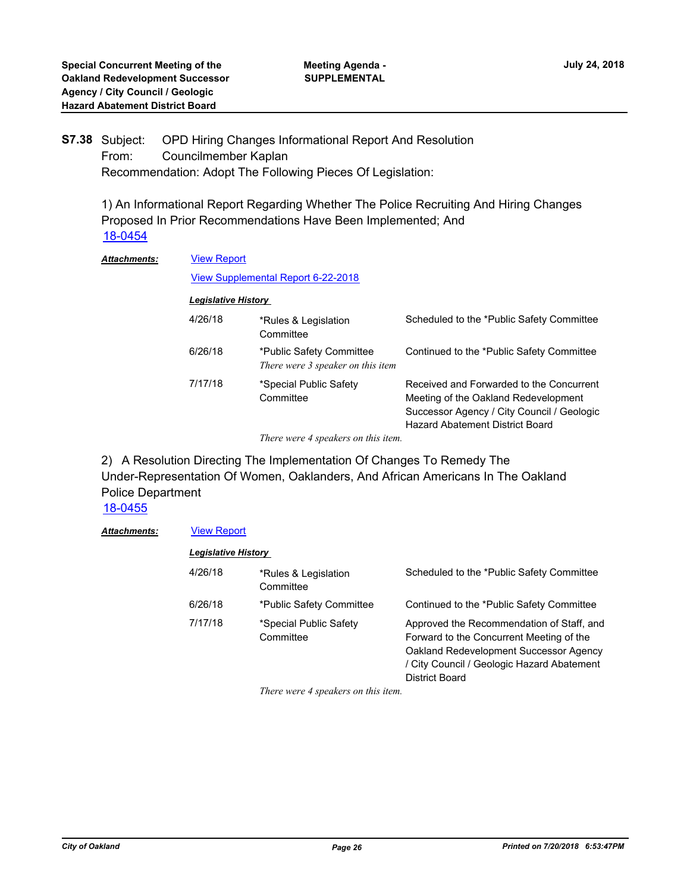#### OPD Hiring Changes Informational Report And Resolution From: Councilmember Kaplan Recommendation: Adopt The Following Pieces Of Legislation: **S7.38**

1) An Informational Report Regarding Whether The Police Recruiting And Hiring Changes Proposed In Prior Recommendations Have Been Implemented; And [18-0454](http://oakland.legistar.com/gateway.aspx?m=l&id=/matter.aspx?key=28890)

| <b>View Report</b>                        |                                                               |                                                                                                                                                                          |  |
|-------------------------------------------|---------------------------------------------------------------|--------------------------------------------------------------------------------------------------------------------------------------------------------------------------|--|
| <b>View Supplemental Report 6-22-2018</b> |                                                               |                                                                                                                                                                          |  |
| <b>Legislative History</b>                |                                                               |                                                                                                                                                                          |  |
| 4/26/18                                   | *Rules & Legislation<br>Committee                             | Scheduled to the *Public Safety Committee                                                                                                                                |  |
| 6/26/18                                   | *Public Safety Committee<br>There were 3 speaker on this item | Continued to the *Public Safety Committee                                                                                                                                |  |
| 7/17/18                                   | *Special Public Safety<br>Committee                           | Received and Forwarded to the Concurrent<br>Meeting of the Oakland Redevelopment<br>Successor Agency / City Council / Geologic<br><b>Hazard Abatement District Board</b> |  |
|                                           |                                                               | $\mathbf{1}$ $\mathbf{1}$                                                                                                                                                |  |

*There were 4 speakers on this item.*

2) A Resolution Directing The Implementation Of Changes To Remedy The Under-Representation Of Women, Oaklanders, And African Americans In The Oakland Police Department

[18-0455](http://oakland.legistar.com/gateway.aspx?m=l&id=/matter.aspx?key=28891)

#### *Attachments:* [View Report](http://oakland.legistar.com/gateway.aspx?M=F&ID=9a797dd5-be40-4575-b21f-a750e1fc4d34.pdf)

| <b>Legislative History</b> |                                     |                                                                                                                                                                                                 |
|----------------------------|-------------------------------------|-------------------------------------------------------------------------------------------------------------------------------------------------------------------------------------------------|
| 4/26/18                    | *Rules & Legislation<br>Committee   | Scheduled to the *Public Safety Committee                                                                                                                                                       |
| 6/26/18                    | *Public Safety Committee            | Continued to the *Public Safety Committee                                                                                                                                                       |
| 7/17/18                    | *Special Public Safety<br>Committee | Approved the Recommendation of Staff, and<br>Forward to the Concurrent Meeting of the<br>Oakland Redevelopment Successor Agency<br>/ City Council / Geologic Hazard Abatement<br>District Board |

*There were 4 speakers on this item.*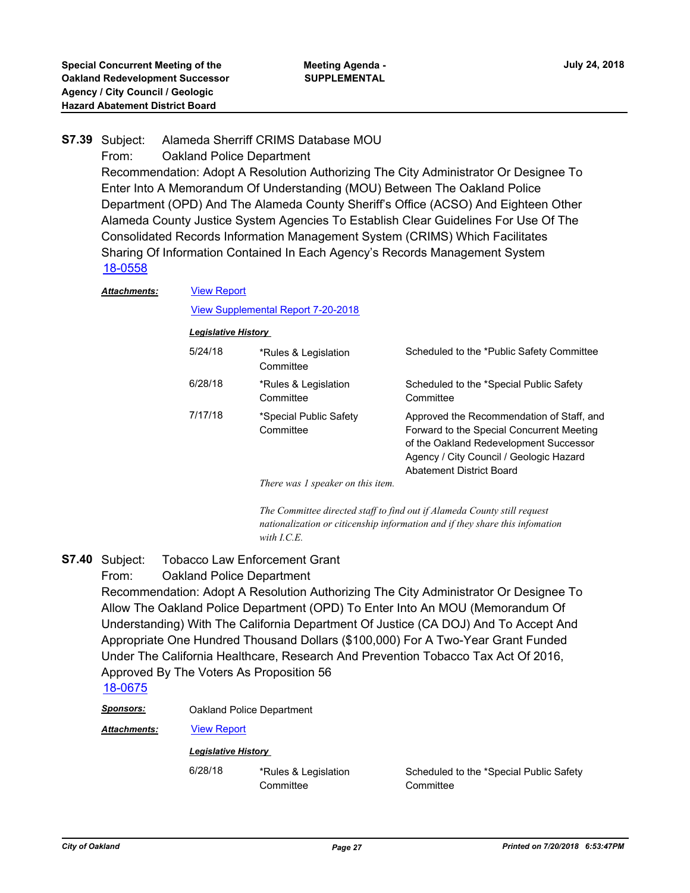#### Alameda Sherriff CRIMS Database MOU **S7.39**

### From: Oakland Police Department

Recommendation: Adopt A Resolution Authorizing The City Administrator Or Designee To Enter Into A Memorandum Of Understanding (MOU) Between The Oakland Police Department (OPD) And The Alameda County Sheriff's Office (ACSO) And Eighteen Other Alameda County Justice System Agencies To Establish Clear Guidelines For Use Of The Consolidated Records Information Management System (CRIMS) Which Facilitates Sharing Of Information Contained In Each Agency's Records Management System [18-0558](http://oakland.legistar.com/gateway.aspx?m=l&id=/matter.aspx?key=28993)

#### [View Report](http://oakland.legistar.com/gateway.aspx?M=F&ID=88357d26-6d2d-4dc9-a321-bd67cb2c9bd4.pdf) *Attachments:*

#### [View Supplemental Report 7-20-2018](http://oakland.legistar.com/gateway.aspx?M=F&ID=9732a11f-4ae8-446a-8536-4c6c6fb0565e.pdf)

#### *Legislative History*

| 5/24/18 | *Rules & Legislation<br>Committee   | Scheduled to the *Public Safety Committee                                                                                                                                                                      |
|---------|-------------------------------------|----------------------------------------------------------------------------------------------------------------------------------------------------------------------------------------------------------------|
| 6/28/18 | *Rules & Legislation<br>Committee   | Scheduled to the *Special Public Safety<br>Committee                                                                                                                                                           |
| 7/17/18 | *Special Public Safety<br>Committee | Approved the Recommendation of Staff, and<br>Forward to the Special Concurrent Meeting<br>of the Oakland Redevelopment Successor<br>Agency / City Council / Geologic Hazard<br><b>Abatement District Board</b> |

*There was 1 speaker on this item.* 

*The Committee directed staff to find out if Alameda County still request nationalization or citicenship information and if they share this infomation with I.C.E.*

#### Tobacco Law Enforcement Grant **S7.40**

### From: Oakland Police Department

Recommendation: Adopt A Resolution Authorizing The City Administrator Or Designee To Allow The Oakland Police Department (OPD) To Enter Into An MOU (Memorandum Of Understanding) With The California Department Of Justice (CA DOJ) And To Accept And Appropriate One Hundred Thousand Dollars (\$100,000) For A Two-Year Grant Funded Under The California Healthcare, Research And Prevention Tobacco Tax Act Of 2016, Approved By The Voters As Proposition 56

## [18-0675](http://oakland.legistar.com/gateway.aspx?m=l&id=/matter.aspx?key=29109)

*Sponsors:* Oakland Police Department

*Attachments:* [View Report](http://oakland.legistar.com/gateway.aspx?M=F&ID=44294daf-3260-4117-889b-425dacad0411.pdf)

#### *Legislative History*

6/28/18 \*Rules & Legislation **Committee** 

Scheduled to the \*Special Public Safety **Committee**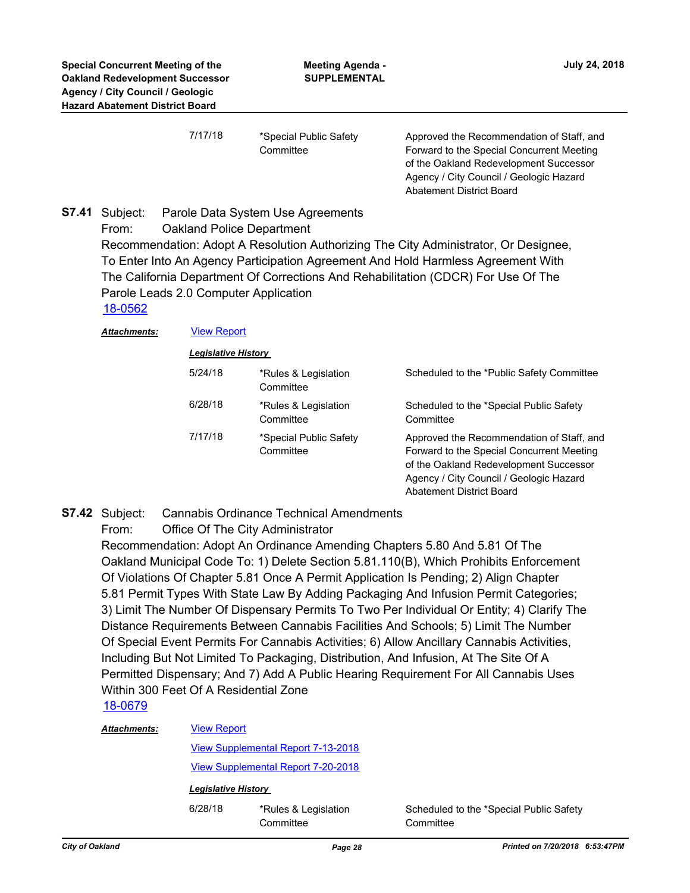| 7/17/18 | *Special Public Safety |
|---------|------------------------|
|         | Committee              |

Approved the Recommendation of Staff, and Forward to the Special Concurrent Meeting of the Oakland Redevelopment Successor Agency / City Council / Geologic Hazard Abatement District Board

Parole Data System Use Agreements From: Oakland Police Department Recommendation: Adopt A Resolution Authorizing The City Administrator, Or Designee, To Enter Into An Agency Participation Agreement And Hold Harmless Agreement With The California Department Of Corrections And Rehabilitation (CDCR) For Use Of The Parole Leads 2.0 Computer Application **S7.41** [18-0562](http://oakland.legistar.com/gateway.aspx?m=l&id=/matter.aspx?key=28997)

*Attachments:* [View Report](http://oakland.legistar.com/gateway.aspx?M=F&ID=7a928ee1-80ce-4830-bed7-90b0fb10b07c.pdf)

*Legislative History* 

| 5/24/18 | *Rules & Legislation<br>Committee   | Scheduled to the *Public Safety Committee                                                                                                                                                               |
|---------|-------------------------------------|---------------------------------------------------------------------------------------------------------------------------------------------------------------------------------------------------------|
| 6/28/18 | *Rules & Legislation<br>Committee   | Scheduled to the *Special Public Safety<br>Committee                                                                                                                                                    |
| 7/17/18 | *Special Public Safety<br>Committee | Approved the Recommendation of Staff, and<br>Forward to the Special Concurrent Meeting<br>of the Oakland Redevelopment Successor<br>Agency / City Council / Geologic Hazard<br>Abatement District Board |

#### Cannabis Ordinance Technical Amendments **S7.42**

From: Office Of The City Administrator

Recommendation: Adopt An Ordinance Amending Chapters 5.80 And 5.81 Of The Oakland Municipal Code To: 1) Delete Section 5.81.110(B), Which Prohibits Enforcement Of Violations Of Chapter 5.81 Once A Permit Application Is Pending; 2) Align Chapter 5.81 Permit Types With State Law By Adding Packaging And Infusion Permit Categories; 3) Limit The Number Of Dispensary Permits To Two Per Individual Or Entity; 4) Clarify The Distance Requirements Between Cannabis Facilities And Schools; 5) Limit The Number Of Special Event Permits For Cannabis Activities; 6) Allow Ancillary Cannabis Activities, Including But Not Limited To Packaging, Distribution, And Infusion, At The Site Of A Permitted Dispensary; And 7) Add A Public Hearing Requirement For All Cannabis Uses Within 300 Feet Of A Residential Zone

### [18-0679](http://oakland.legistar.com/gateway.aspx?m=l&id=/matter.aspx?key=29113)

| <b>Attachments:</b> | <b>View Report</b>                        |                                   |                                                      |
|---------------------|-------------------------------------------|-----------------------------------|------------------------------------------------------|
|                     | <b>View Supplemental Report 7-13-2018</b> |                                   |                                                      |
|                     | View Supplemental Report 7-20-2018        |                                   |                                                      |
|                     | <b>Legislative History</b>                |                                   |                                                      |
|                     | 6/28/18                                   | *Rules & Legislation<br>Committee | Scheduled to the *Special Public Safety<br>Committee |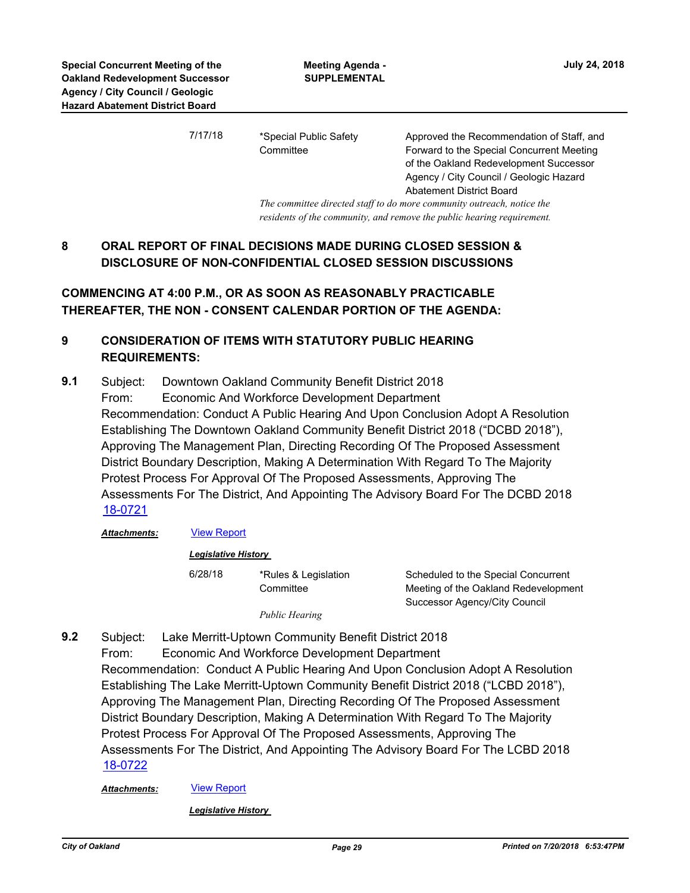7/17/18 \*Special Public Safety **Committee** 

Approved the Recommendation of Staff, and Forward to the Special Concurrent Meeting of the Oakland Redevelopment Successor Agency / City Council / Geologic Hazard Abatement District Board

*The committee directed staff to do more community outreach, notice the residents of the community, and remove the public hearing requirement.*

## **8 ORAL REPORT OF FINAL DECISIONS MADE DURING CLOSED SESSION & DISCLOSURE OF NON-CONFIDENTIAL CLOSED SESSION DISCUSSIONS**

## **COMMENCING AT 4:00 P.M., OR AS SOON AS REASONABLY PRACTICABLE THEREAFTER, THE NON - CONSENT CALENDAR PORTION OF THE AGENDA:**

## **9 CONSIDERATION OF ITEMS WITH STATUTORY PUBLIC HEARING REQUIREMENTS:**

Subject: Downtown Oakland Community Benefit District 2018 From: Economic And Workforce Development Department Recommendation: Conduct A Public Hearing And Upon Conclusion Adopt A Resolution Establishing The Downtown Oakland Community Benefit District 2018 ("DCBD 2018"), Approving The Management Plan, Directing Recording Of The Proposed Assessment District Boundary Description, Making A Determination With Regard To The Majority Protest Process For Approval Of The Proposed Assessments, Approving The Assessments For The District, And Appointing The Advisory Board For The DCBD 2018 **9.1** [18-0721](http://oakland.legistar.com/gateway.aspx?m=l&id=/matter.aspx?key=29155)

*Attachments:* [View Report](http://oakland.legistar.com/gateway.aspx?M=F&ID=1d00ca9f-2d51-4bee-a154-bef3c85eecab.pdf)

| <b>Legislative History</b> |
|----------------------------|
|                            |

6/28/18 \*Rules & Legislation **Committee** 

Scheduled to the Special Concurrent Meeting of the Oakland Redevelopment Successor Agency/City Council

*Public Hearing*

Subject: Lake Merritt-Uptown Community Benefit District 2018 From: Economic And Workforce Development Department Recommendation: Conduct A Public Hearing And Upon Conclusion Adopt A Resolution Establishing The Lake Merritt-Uptown Community Benefit District 2018 ("LCBD 2018"), Approving The Management Plan, Directing Recording Of The Proposed Assessment District Boundary Description, Making A Determination With Regard To The Majority Protest Process For Approval Of The Proposed Assessments, Approving The Assessments For The District, And Appointing The Advisory Board For The LCBD 2018 **9.2** [18-0722](http://oakland.legistar.com/gateway.aspx?m=l&id=/matter.aspx?key=29156)

*Attachments:* [View Report](http://oakland.legistar.com/gateway.aspx?M=F&ID=5b214f9e-19c3-4792-b94c-f5bad387e998.pdf)

*Legislative History*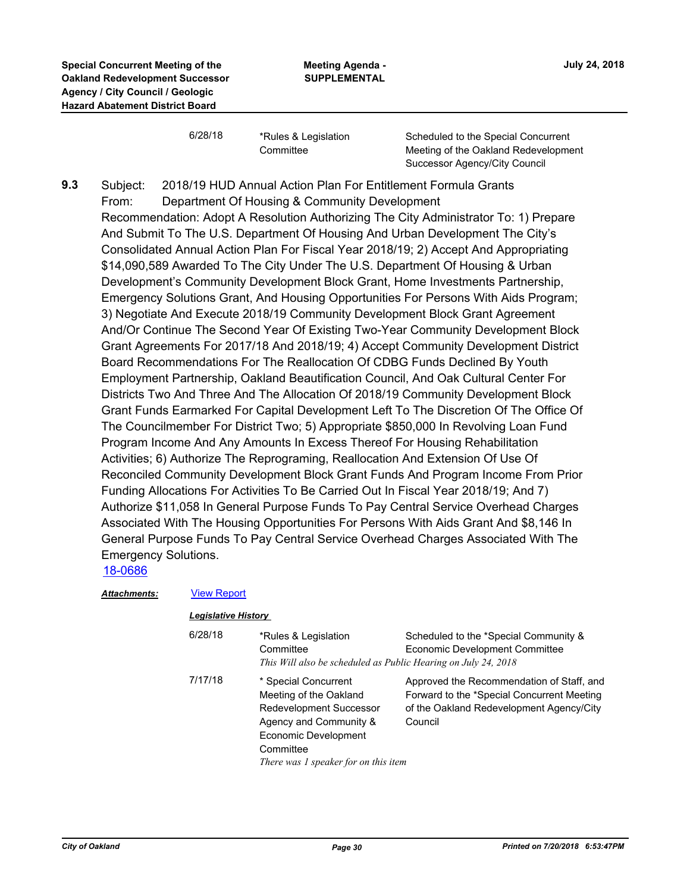6/28/18 \*Rules & Legislation **Committee** 

Scheduled to the Special Concurrent Meeting of the Oakland Redevelopment Successor Agency/City Council

Subject: 2018/19 HUD Annual Action Plan For Entitlement Formula Grants From: Department Of Housing & Community Development Recommendation: Adopt A Resolution Authorizing The City Administrator To: 1) Prepare And Submit To The U.S. Department Of Housing And Urban Development The City's Consolidated Annual Action Plan For Fiscal Year 2018/19; 2) Accept And Appropriating \$14,090,589 Awarded To The City Under The U.S. Department Of Housing & Urban Development's Community Development Block Grant, Home Investments Partnership, Emergency Solutions Grant, And Housing Opportunities For Persons With Aids Program; 3) Negotiate And Execute 2018/19 Community Development Block Grant Agreement And/Or Continue The Second Year Of Existing Two-Year Community Development Block Grant Agreements For 2017/18 And 2018/19; 4) Accept Community Development District Board Recommendations For The Reallocation Of CDBG Funds Declined By Youth Employment Partnership, Oakland Beautification Council, And Oak Cultural Center For Districts Two And Three And The Allocation Of 2018/19 Community Development Block Grant Funds Earmarked For Capital Development Left To The Discretion Of The Office Of The Councilmember For District Two; 5) Appropriate \$850,000 In Revolving Loan Fund Program Income And Any Amounts In Excess Thereof For Housing Rehabilitation Activities; 6) Authorize The Reprograming, Reallocation And Extension Of Use Of Reconciled Community Development Block Grant Funds And Program Income From Prior Funding Allocations For Activities To Be Carried Out In Fiscal Year 2018/19; And 7) Authorize \$11,058 In General Purpose Funds To Pay Central Service Overhead Charges Associated With The Housing Opportunities For Persons With Aids Grant And \$8,146 In General Purpose Funds To Pay Central Service Overhead Charges Associated With The Emergency Solutions. **9.3**

[18-0686](http://oakland.legistar.com/gateway.aspx?m=l&id=/matter.aspx?key=29120)

### *Attachments:* [View Report](http://oakland.legistar.com/gateway.aspx?M=F&ID=d01b8c06-2944-41d7-a2a7-8dc8321ad262.pdf)

#### *Legislative History*

| 6/28/18 | *Rules & Legislation<br>Committee<br>This Will also be scheduled as Public Hearing on July 24, 2018                                                                                     | Scheduled to the *Special Community &<br>Economic Development Committee                                                                        |
|---------|-----------------------------------------------------------------------------------------------------------------------------------------------------------------------------------------|------------------------------------------------------------------------------------------------------------------------------------------------|
| 7/17/18 | * Special Concurrent<br>Meeting of the Oakland<br><b>Redevelopment Successor</b><br>Agency and Community &<br>Economic Development<br>Committee<br>There was 1 speaker for on this item | Approved the Recommendation of Staff, and<br>Forward to the *Special Concurrent Meeting<br>of the Oakland Redevelopment Agency/City<br>Council |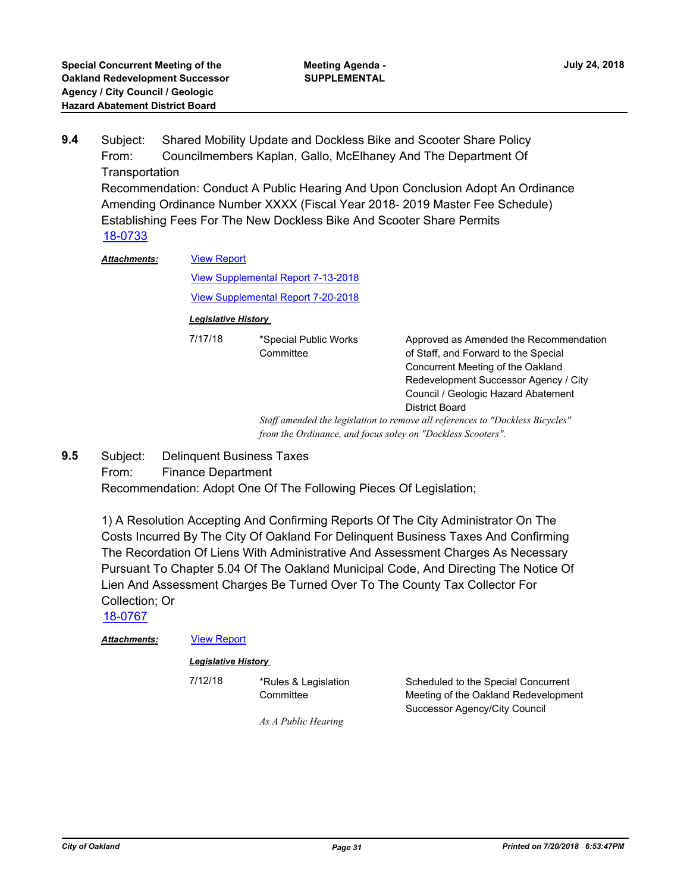Subject: Shared Mobility Update and Dockless Bike and Scooter Share Policy From: Councilmembers Kaplan, Gallo, McElhaney And The Department Of **Transportation** Recommendation: Conduct A Public Hearing And Upon Conclusion Adopt An Ordinance Amending Ordinance Number XXXX (Fiscal Year 2018- 2019 Master Fee Schedule) Establishing Fees For The New Dockless Bike And Scooter Share Permits **9.4** [18-0733](http://oakland.legistar.com/gateway.aspx?m=l&id=/matter.aspx?key=29167) [View Report](http://oakland.legistar.com/gateway.aspx?M=F&ID=9776d9c1-e681-461e-9646-f6cc454b207f.pdf) *Attachments:*

[View Supplemental Report 7-13-2018](http://oakland.legistar.com/gateway.aspx?M=F&ID=6e00a76b-a286-4227-9749-f9d6f7c64496.pdf)

[View Supplemental Report 7-20-2018](http://oakland.legistar.com/gateway.aspx?M=F&ID=eb7d47cf-fa07-463e-a5da-fa596979f3ef.pdf)

**Committee** 

#### *Legislative History*

7/17/18 \*Special Public Works

Approved as Amended the Recommendation of Staff, and Forward to the Special Concurrent Meeting of the Oakland Redevelopment Successor Agency / City Council / Geologic Hazard Abatement District Board

*Staff amended the legislation to remove all references to "Dockless Bicycles" from the Ordinance, and focus soley on "Dockless Scooters".*

- Subject: Delinquent Business Taxes **9.5**
	- From: Finance Department

Recommendation: Adopt One Of The Following Pieces Of Legislation;

1) A Resolution Accepting And Confirming Reports Of The City Administrator On The Costs Incurred By The City Of Oakland For Delinquent Business Taxes And Confirming The Recordation Of Liens With Administrative And Assessment Charges As Necessary Pursuant To Chapter 5.04 Of The Oakland Municipal Code, And Directing The Notice Of Lien And Assessment Charges Be Turned Over To The County Tax Collector For Collection; Or

[18-0767](http://oakland.legistar.com/gateway.aspx?m=l&id=/matter.aspx?key=29201)

Attachments: **[View Report](http://oakland.legistar.com/gateway.aspx?M=F&ID=322e2fb5-851b-4838-a22e-9d99117f14fa.pdf)** 

| <b>Legislative History</b> |
|----------------------------|
|----------------------------|

7/12/18 \*Rules & Legislation

**Committee** 

Scheduled to the Special Concurrent Meeting of the Oakland Redevelopment Successor Agency/City Council

*As A Public Hearing*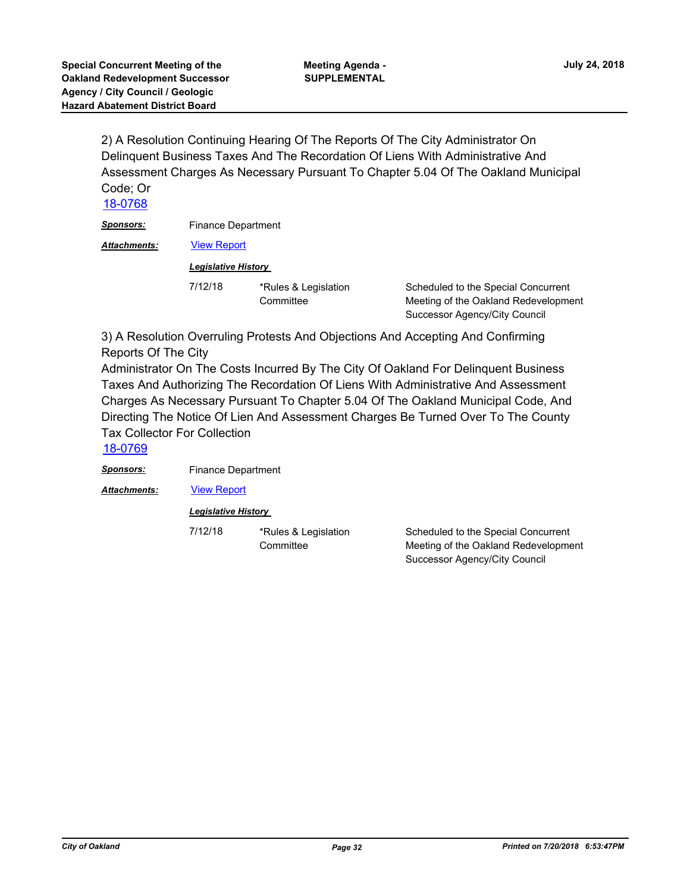2) A Resolution Continuing Hearing Of The Reports Of The City Administrator On Delinquent Business Taxes And The Recordation Of Liens With Administrative And Assessment Charges As Necessary Pursuant To Chapter 5.04 Of The Oakland Municipal Code; Or

[18-0768](http://oakland.legistar.com/gateway.aspx?m=l&id=/matter.aspx?key=29202)

**Sponsors:** Finance Department

Attachments: **[View Report](http://oakland.legistar.com/gateway.aspx?M=F&ID=818e9acd-5292-4a23-91e1-2bdcf9057226.pdf)** 

*Legislative History* 

7/12/18 \*Rules & Legislation **Committee** 

Scheduled to the Special Concurrent Meeting of the Oakland Redevelopment Successor Agency/City Council

3) A Resolution Overruling Protests And Objections And Accepting And Confirming Reports Of The City

Administrator On The Costs Incurred By The City Of Oakland For Delinquent Business Taxes And Authorizing The Recordation Of Liens With Administrative And Assessment Charges As Necessary Pursuant To Chapter 5.04 Of The Oakland Municipal Code, And Directing The Notice Of Lien And Assessment Charges Be Turned Over To The County Tax Collector For Collection

[18-0769](http://oakland.legistar.com/gateway.aspx?m=l&id=/matter.aspx?key=29203)

*Sponsors:* Finance Department

Attachments: **[View Report](http://oakland.legistar.com/gateway.aspx?M=F&ID=3774dfb0-a721-490a-b9d6-ee2d02e271ab.pdf)** 

#### *Legislative History*

7/12/18 \*Rules & Legislation **Committee** 

Scheduled to the Special Concurrent Meeting of the Oakland Redevelopment Successor Agency/City Council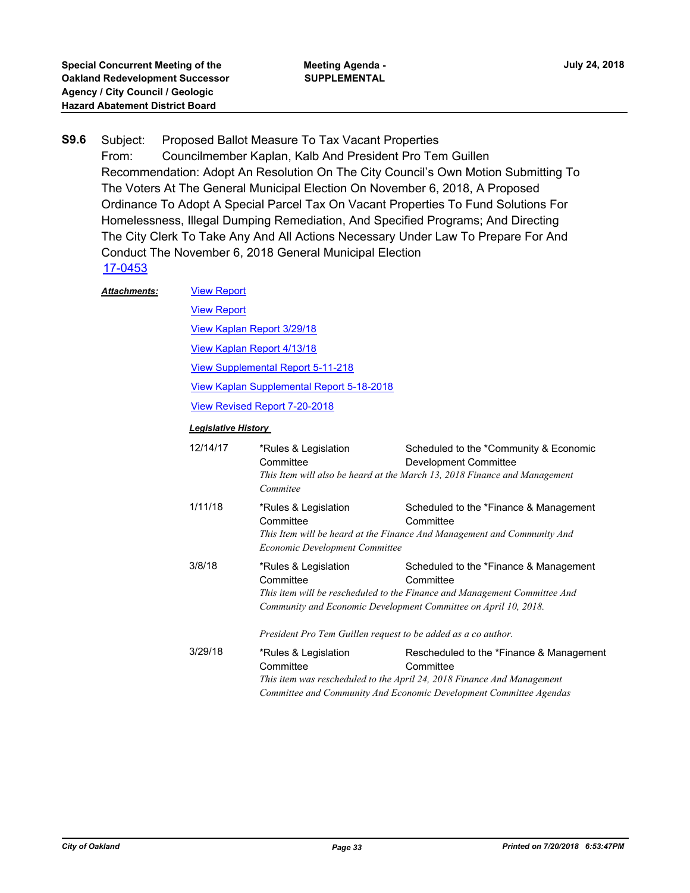- Subject: Proposed Ballot Measure To Tax Vacant Properties From: Councilmember Kaplan, Kalb And President Pro Tem Guillen Recommendation: Adopt An Resolution On The City Council's Own Motion Submitting To The Voters At The General Municipal Election On November 6, 2018, A Proposed Ordinance To Adopt A Special Parcel Tax On Vacant Properties To Fund Solutions For Homelessness, Illegal Dumping Remediation, And Specified Programs; And Directing The City Clerk To Take Any And All Actions Necessary Under Law To Prepare For And Conduct The November 6, 2018 General Municipal Election **S9.6** [17-0453](http://oakland.legistar.com/gateway.aspx?m=l&id=/matter.aspx?key=28398)
	- [View Report](http://oakland.legistar.com/gateway.aspx?M=F&ID=42879b78-0935-4a0b-aaf0-b927bad6d286.pdf) [View Report](http://oakland.legistar.com/gateway.aspx?M=F&ID=6d50bc79-a6de-4764-ab53-e72f19864511.pdf) [View Kaplan Report 3/29/18](http://oakland.legistar.com/gateway.aspx?M=F&ID=18102928-d7f0-4d25-8311-ace0a79e5b38.pdf) [View Kaplan Report 4/13/18](http://oakland.legistar.com/gateway.aspx?M=F&ID=60524a56-accf-4859-bec6-75ee422e5336.pdf) [View Supplemental Report 5-11-218](http://oakland.legistar.com/gateway.aspx?M=F&ID=05963909-194c-4502-9864-f1601ef8ed2c.pdf) [View Kaplan Supplemental Report 5-18-2018](http://oakland.legistar.com/gateway.aspx?M=F&ID=7355a50b-0598-408f-8e93-650941a5d647.pdf) [View Revised Report 7-20-2018](http://oakland.legistar.com/gateway.aspx?M=F&ID=dd49f55a-c8c0-4d24-a569-0d4c312442d9.pdf) *Attachments: Legislative History*  12/14/17 \*Rules & Legislation **Committee** Scheduled to the \*Community & Economic Development Committee *This Item will also be heard at the March 13, 2018 Finance and Management Commitee* 1/11/18 \*Rules & Legislation **Committee** Scheduled to the \*Finance & Management **Committee** *This Item will be heard at the Finance And Management and Community And Economic Development Committee* 3/8/18 \*Rules & Legislation **Committee** Scheduled to the \*Finance & Management **Committee** *This item will be rescheduled to the Finance and Management Committee And Community and Economic Development Committee on April 10, 2018. President Pro Tem Guillen request to be added as a co author.* 3/29/18 \*Rules & Legislation **Committee** Rescheduled to the \*Finance & Management **Committee** *This item was rescheduled to the April 24, 2018 Finance And Management Committee and Community And Economic Development Committee Agendas*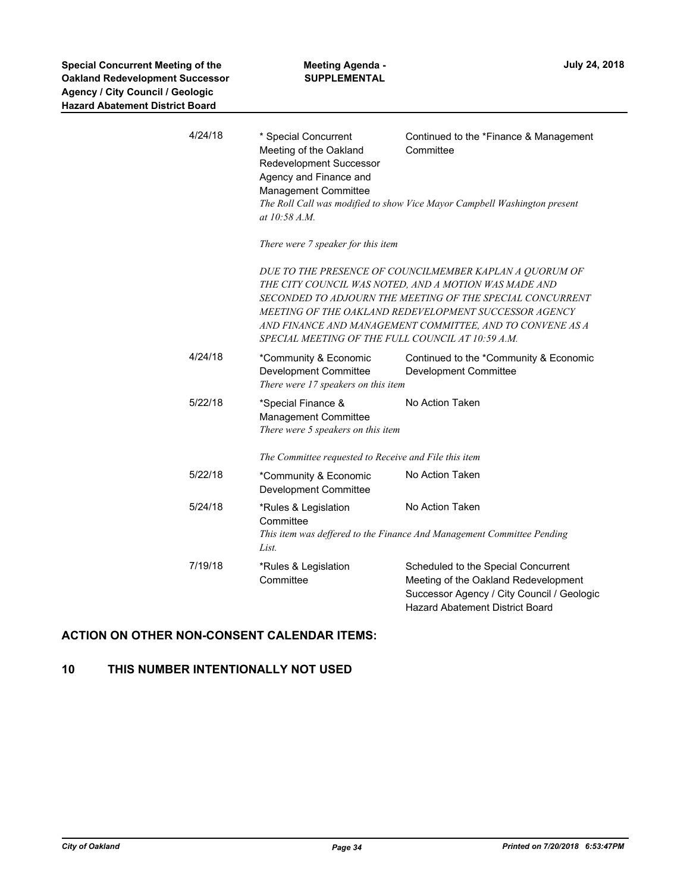| 4/24/18 | * Special Concurrent<br>Meeting of the Oakland<br>Redevelopment Successor<br>Agency and Finance and<br>Management Committee<br>at 10:58 A.M. | Continued to the *Finance & Management<br>Committee<br>The Roll Call was modified to show Vice Mayor Campbell Washington present                                                                                                                                                                                                                         |
|---------|----------------------------------------------------------------------------------------------------------------------------------------------|----------------------------------------------------------------------------------------------------------------------------------------------------------------------------------------------------------------------------------------------------------------------------------------------------------------------------------------------------------|
|         | There were 7 speaker for this item                                                                                                           |                                                                                                                                                                                                                                                                                                                                                          |
|         |                                                                                                                                              | DUE TO THE PRESENCE OF COUNCILMEMBER KAPLAN A QUORUM OF<br>THE CITY COUNCIL WAS NOTED, AND A MOTION WAS MADE AND<br>SECONDED TO ADJOURN THE MEETING OF THE SPECIAL CONCURRENT<br>MEETING OF THE OAKLAND REDEVELOPMENT SUCCESSOR AGENCY<br>AND FINANCE AND MANAGEMENT COMMITTEE, AND TO CONVENE AS A<br>SPECIAL MEETING OF THE FULL COUNCIL AT 10:59 A.M. |
| 4/24/18 | *Community & Economic<br><b>Development Committee</b><br>There were 17 speakers on this item                                                 | Continued to the *Community & Economic<br><b>Development Committee</b>                                                                                                                                                                                                                                                                                   |
| 5/22/18 | *Special Finance &<br><b>Management Committee</b><br>There were 5 speakers on this item                                                      | No Action Taken                                                                                                                                                                                                                                                                                                                                          |
|         | The Committee requested to Receive and File this item                                                                                        |                                                                                                                                                                                                                                                                                                                                                          |
| 5/22/18 | *Community & Economic<br><b>Development Committee</b>                                                                                        | No Action Taken                                                                                                                                                                                                                                                                                                                                          |
| 5/24/18 | *Rules & Legislation<br>Committee<br>List.                                                                                                   | No Action Taken<br>This item was deffered to the Finance And Management Committee Pending                                                                                                                                                                                                                                                                |
| 7/19/18 | *Rules & Legislation<br>Committee                                                                                                            | Scheduled to the Special Concurrent<br>Meeting of the Oakland Redevelopment<br>Successor Agency / City Council / Geologic<br><b>Hazard Abatement District Board</b>                                                                                                                                                                                      |

## **ACTION ON OTHER NON-CONSENT CALENDAR ITEMS:**

## **10 THIS NUMBER INTENTIONALLY NOT USED**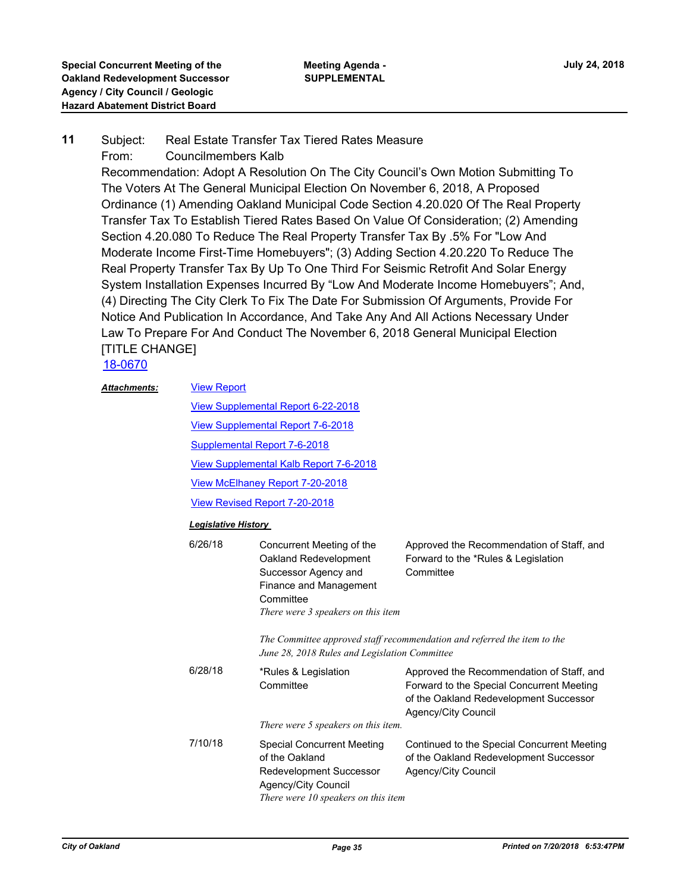#### Subject: Real Estate Transfer Tax Tiered Rates Measure From: Councilmembers Kalb **11**

Recommendation: Adopt A Resolution On The City Council's Own Motion Submitting To The Voters At The General Municipal Election On November 6, 2018, A Proposed Ordinance (1) Amending Oakland Municipal Code Section 4.20.020 Of The Real Property Transfer Tax To Establish Tiered Rates Based On Value Of Consideration; (2) Amending Section 4.20.080 To Reduce The Real Property Transfer Tax By .5% For "Low And Moderate Income First-Time Homebuyers"; (3) Adding Section 4.20.220 To Reduce The Real Property Transfer Tax By Up To One Third For Seismic Retrofit And Solar Energy System Installation Expenses Incurred By "Low And Moderate Income Homebuyers"; And, (4) Directing The City Clerk To Fix The Date For Submission Of Arguments, Provide For Notice And Publication In Accordance, And Take Any And All Actions Necessary Under Law To Prepare For And Conduct The November 6, 2018 General Municipal Election [TITLE CHANGE]

## [18-0670](http://oakland.legistar.com/gateway.aspx?m=l&id=/matter.aspx?key=29104)

| <b>Attachments:</b> | <b>View Report</b>                            |                                                                                                                                                         |                                                                                                                                                         |  |  |
|---------------------|-----------------------------------------------|---------------------------------------------------------------------------------------------------------------------------------------------------------|---------------------------------------------------------------------------------------------------------------------------------------------------------|--|--|
|                     | View Supplemental Report 6-22-2018            |                                                                                                                                                         |                                                                                                                                                         |  |  |
|                     | <b>View Supplemental Report 7-6-2018</b>      |                                                                                                                                                         |                                                                                                                                                         |  |  |
|                     | <b>Supplemental Report 7-6-2018</b>           |                                                                                                                                                         |                                                                                                                                                         |  |  |
|                     | <b>View Supplemental Kalb Report 7-6-2018</b> |                                                                                                                                                         |                                                                                                                                                         |  |  |
|                     |                                               | View McElhaney Report 7-20-2018                                                                                                                         |                                                                                                                                                         |  |  |
|                     |                                               | <b>View Revised Report 7-20-2018</b>                                                                                                                    |                                                                                                                                                         |  |  |
|                     | <b>Legislative History</b>                    |                                                                                                                                                         |                                                                                                                                                         |  |  |
|                     | 6/26/18                                       | Concurrent Meeting of the<br>Oakland Redevelopment<br>Successor Agency and<br>Finance and Management<br>Committee<br>There were 3 speakers on this item | Approved the Recommendation of Staff, and<br>Forward to the *Rules & Legislation<br>Committee                                                           |  |  |
|                     |                                               | June 28, 2018 Rules and Legislation Committee                                                                                                           | The Committee approved staff recommendation and referred the item to the                                                                                |  |  |
|                     | 6/28/18                                       | *Rules & Legislation<br>Committee                                                                                                                       | Approved the Recommendation of Staff, and<br>Forward to the Special Concurrent Meeting<br>of the Oakland Redevelopment Successor<br>Agency/City Council |  |  |
|                     |                                               | There were 5 speakers on this item.                                                                                                                     |                                                                                                                                                         |  |  |
|                     | 7/10/18                                       | <b>Special Concurrent Meeting</b><br>of the Oakland<br>Redevelopment Successor<br>Agency/City Council<br>There were 10 speakers on this item            | Continued to the Special Concurrent Meeting<br>of the Oakland Redevelopment Successor<br>Agency/City Council                                            |  |  |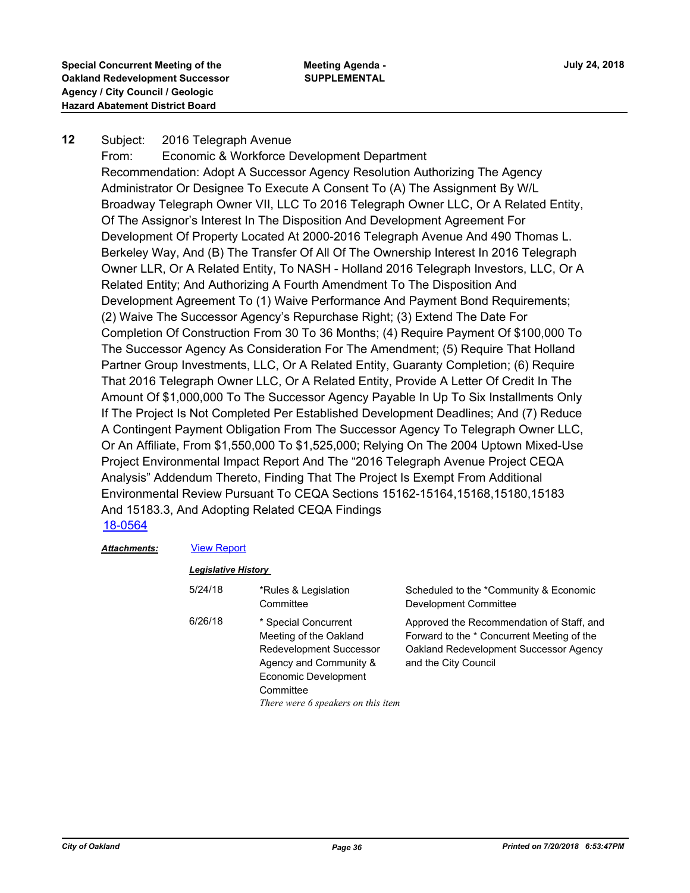#### Subject: 2016 Telegraph Avenue **12**

From: Economic & Workforce Development Department Recommendation: Adopt A Successor Agency Resolution Authorizing The Agency Administrator Or Designee To Execute A Consent To (A) The Assignment By W/L Broadway Telegraph Owner VII, LLC To 2016 Telegraph Owner LLC, Or A Related Entity, Of The Assignor's Interest In The Disposition And Development Agreement For Development Of Property Located At 2000-2016 Telegraph Avenue And 490 Thomas L. Berkeley Way, And (B) The Transfer Of All Of The Ownership Interest In 2016 Telegraph Owner LLR, Or A Related Entity, To NASH - Holland 2016 Telegraph Investors, LLC, Or A Related Entity; And Authorizing A Fourth Amendment To The Disposition And Development Agreement To (1) Waive Performance And Payment Bond Requirements; (2) Waive The Successor Agency's Repurchase Right; (3) Extend The Date For Completion Of Construction From 30 To 36 Months; (4) Require Payment Of \$100,000 To The Successor Agency As Consideration For The Amendment; (5) Require That Holland Partner Group Investments, LLC, Or A Related Entity, Guaranty Completion; (6) Require That 2016 Telegraph Owner LLC, Or A Related Entity, Provide A Letter Of Credit In The Amount Of \$1,000,000 To The Successor Agency Payable In Up To Six Installments Only If The Project Is Not Completed Per Established Development Deadlines; And (7) Reduce A Contingent Payment Obligation From The Successor Agency To Telegraph Owner LLC, Or An Affiliate, From \$1,550,000 To \$1,525,000; Relying On The 2004 Uptown Mixed-Use Project Environmental Impact Report And The "2016 Telegraph Avenue Project CEQA Analysis" Addendum Thereto, Finding That The Project Is Exempt From Additional Environmental Review Pursuant To CEQA Sections 15162-15164,15168,15180,15183 And 15183.3, And Adopting Related CEQA Findings [18-0564](http://oakland.legistar.com/gateway.aspx?m=l&id=/matter.aspx?key=28999)

#### *Attachments:* [View Report](http://oakland.legistar.com/gateway.aspx?M=F&ID=3398b75f-a720-482c-80a0-acfc97990c1e.pdf)

### *Legislative History*

| 5/24/18 | *Rules & Legislation<br>Committee                                                                                                                                                     | Scheduled to the *Community & Economic<br><b>Development Committee</b>                                                                                    |
|---------|---------------------------------------------------------------------------------------------------------------------------------------------------------------------------------------|-----------------------------------------------------------------------------------------------------------------------------------------------------------|
| 6/26/18 | * Special Concurrent<br>Meeting of the Oakland<br><b>Redevelopment Successor</b><br>Agency and Community &<br>Economic Development<br>Committee<br>There were 6 speakers on this item | Approved the Recommendation of Staff, and<br>Forward to the * Concurrent Meeting of the<br>Oakland Redevelopment Successor Agency<br>and the City Council |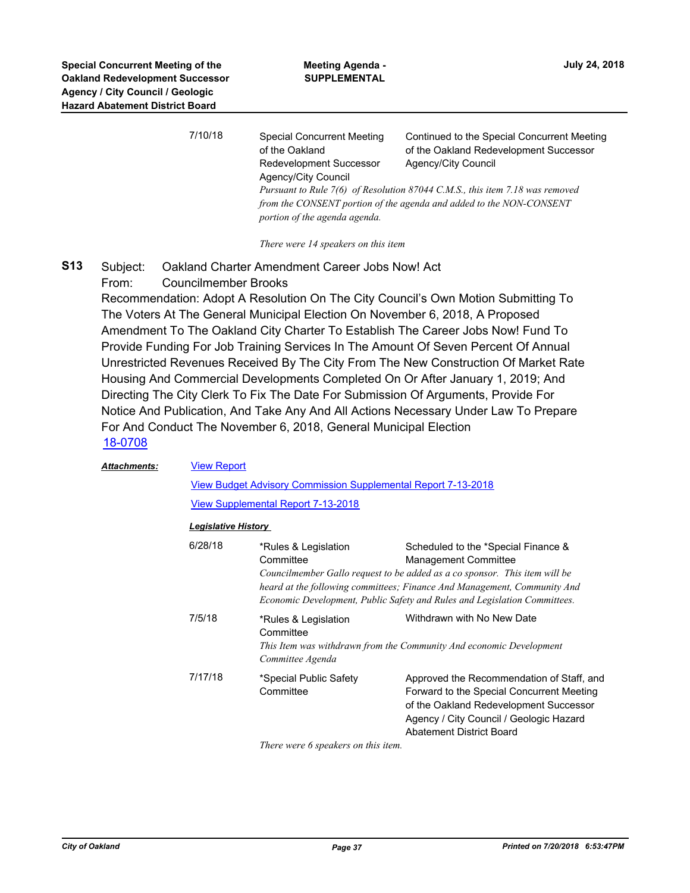| 7/10/18 | <b>Special Concurrent Meeting</b><br>of the Oakland<br>Redevelopment Successor<br>Agency/City Council | Continued to the Special Concurrent Meeting<br>of the Oakland Redevelopment Successor<br>Agency/City Council<br>Pursuant to Rule 7(6) of Resolution 87044 C.M.S., this item 7.18 was removed<br>from the CONSENT portion of the agenda and added to the NON-CONSENT |  |
|---------|-------------------------------------------------------------------------------------------------------|---------------------------------------------------------------------------------------------------------------------------------------------------------------------------------------------------------------------------------------------------------------------|--|
|         | portion of the agenda agenda.                                                                         |                                                                                                                                                                                                                                                                     |  |

*There were 14 speakers on this item*

Subject: Oakland Charter Amendment Career Jobs Now! Act From: Councilmember Brooks **S13**

Recommendation: Adopt A Resolution On The City Council's Own Motion Submitting To The Voters At The General Municipal Election On November 6, 2018, A Proposed Amendment To The Oakland City Charter To Establish The Career Jobs Now! Fund To Provide Funding For Job Training Services In The Amount Of Seven Percent Of Annual Unrestricted Revenues Received By The City From The New Construction Of Market Rate Housing And Commercial Developments Completed On Or After January 1, 2019; And Directing The City Clerk To Fix The Date For Submission Of Arguments, Provide For Notice And Publication, And Take Any And All Actions Necessary Under Law To Prepare For And Conduct The November 6, 2018, General Municipal Election [18-0708](http://oakland.legistar.com/gateway.aspx?m=l&id=/matter.aspx?key=29142)

| <b>Attachments:</b> |         | <b>View Report</b>                                            |                                                                                                                                                                                                                                                                                                           |  |  |  |
|---------------------|---------|---------------------------------------------------------------|-----------------------------------------------------------------------------------------------------------------------------------------------------------------------------------------------------------------------------------------------------------------------------------------------------------|--|--|--|
|                     |         | View Budget Advisory Commission Supplemental Report 7-13-2018 |                                                                                                                                                                                                                                                                                                           |  |  |  |
|                     |         | <b>View Supplemental Report 7-13-2018</b>                     |                                                                                                                                                                                                                                                                                                           |  |  |  |
|                     |         | <b>Legislative History</b>                                    |                                                                                                                                                                                                                                                                                                           |  |  |  |
|                     | 6/28/18 | *Rules & Legislation<br>Committee                             | Scheduled to the *Special Finance &<br><b>Management Committee</b><br>Councilmember Gallo request to be added as a co sponsor. This item will be<br>heard at the following committees; Finance And Management, Community And<br>Economic Development, Public Safety and Rules and Legislation Committees. |  |  |  |
|                     | 7/5/18  | *Rules & Legislation<br>Committee<br>Committee Agenda         | Withdrawn with No New Date<br>This Item was withdrawn from the Community And economic Development                                                                                                                                                                                                         |  |  |  |
|                     | 7/17/18 | *Special Public Safety<br>Committee                           | Approved the Recommendation of Staff, and<br>Forward to the Special Concurrent Meeting<br>of the Oakland Redevelopment Successor<br>Agency / City Council / Geologic Hazard<br><b>Abatement District Board</b>                                                                                            |  |  |  |
|                     |         |                                                               |                                                                                                                                                                                                                                                                                                           |  |  |  |

*There were 6 speakers on this item.*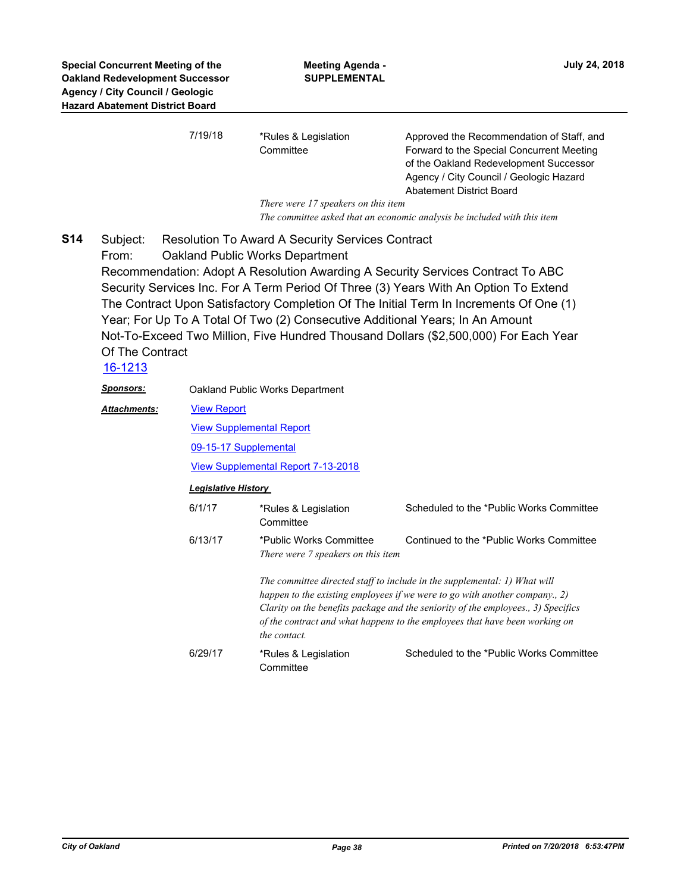| 7/19/18 | *Rules & Legislation                | Approved the Recommendation of Staff, and |
|---------|-------------------------------------|-------------------------------------------|
|         | Committee                           | Forward to the Special Concurrent Meeting |
|         |                                     | of the Oakland Redevelopment Successor    |
|         |                                     | Agency / City Council / Geologic Hazard   |
|         |                                     | Abatement District Board                  |
|         | There were 17 speakers on this item |                                           |

*The committee asked that an economic analysis be included with this item*

Subject: Resolution To Award A Security Services Contract From: Oakland Public Works Department Recommendation: Adopt A Resolution Awarding A Security Services Contract To ABC Security Services Inc. For A Term Period Of Three (3) Years With An Option To Extend The Contract Upon Satisfactory Completion Of The Initial Term In Increments Of One (1) Year; For Up To A Total Of Two (2) Consecutive Additional Years; In An Amount Not-To-Exceed Two Million, Five Hundred Thousand Dollars (\$2,500,000) For Each Year Of The Contract **S14**

## [16-1213](http://oakland.legistar.com/gateway.aspx?m=l&id=/matter.aspx?key=27759)

| Sp <u>onsors:</u> |         | Oakland Public Works Department                                                                                                                                                                                                                                                                                                              |                                          |  |  |
|-------------------|---------|----------------------------------------------------------------------------------------------------------------------------------------------------------------------------------------------------------------------------------------------------------------------------------------------------------------------------------------------|------------------------------------------|--|--|
| Attachments:      |         | <b>View Report</b>                                                                                                                                                                                                                                                                                                                           |                                          |  |  |
|                   |         | <b>View Supplemental Report</b>                                                                                                                                                                                                                                                                                                              |                                          |  |  |
|                   |         | 09-15-17 Supplemental                                                                                                                                                                                                                                                                                                                        |                                          |  |  |
|                   |         | <b>View Supplemental Report 7-13-2018</b>                                                                                                                                                                                                                                                                                                    |                                          |  |  |
|                   |         | <b>Legislative History</b>                                                                                                                                                                                                                                                                                                                   |                                          |  |  |
|                   | 6/1/17  | *Rules & Legislation<br>Committee                                                                                                                                                                                                                                                                                                            | Scheduled to the *Public Works Committee |  |  |
|                   | 6/13/17 | *Public Works Committee<br>There were 7 speakers on this item                                                                                                                                                                                                                                                                                | Continued to the *Public Works Committee |  |  |
|                   |         | The committee directed staff to include in the supplemental: 1) What will<br>happen to the existing employees if we were to go with another company., 2)<br>Clarity on the benefits package and the seniority of the employees., 3) Specifics<br>of the contract and what happens to the employees that have been working on<br>the contact. |                                          |  |  |
|                   | 6/29/17 | *Rules & Legislation<br>Committee                                                                                                                                                                                                                                                                                                            | Scheduled to the *Public Works Committee |  |  |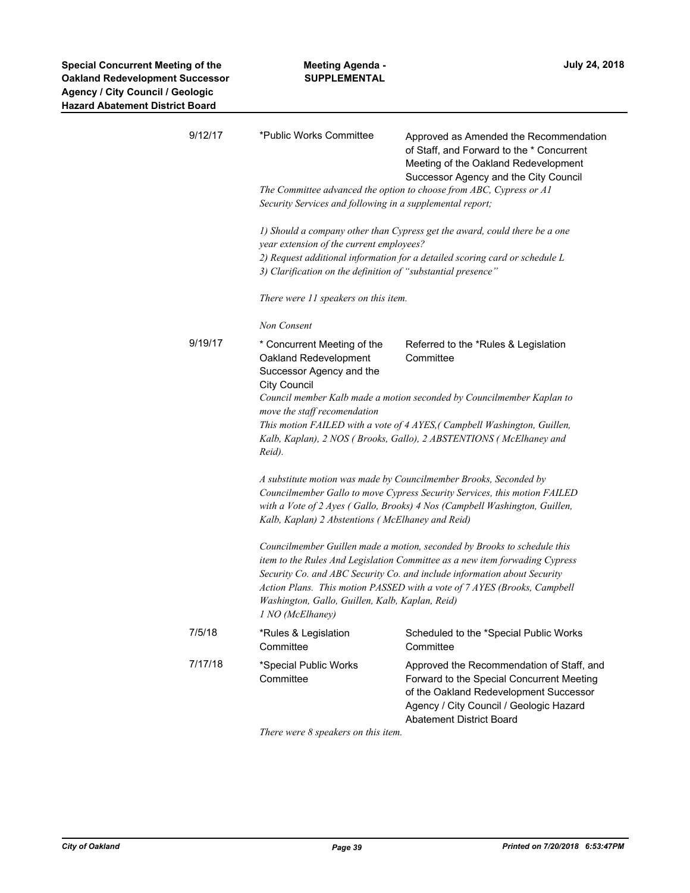| 9/12/17 | *Public Works Committee                                                                                                                                                                                                                                                                                                                                                                | Approved as Amended the Recommendation<br>of Staff, and Forward to the * Concurrent<br>Meeting of the Oakland Redevelopment<br>Successor Agency and the City Council                                           |  |
|---------|----------------------------------------------------------------------------------------------------------------------------------------------------------------------------------------------------------------------------------------------------------------------------------------------------------------------------------------------------------------------------------------|----------------------------------------------------------------------------------------------------------------------------------------------------------------------------------------------------------------|--|
|         | Security Services and following in a supplemental report;                                                                                                                                                                                                                                                                                                                              | The Committee advanced the option to choose from ABC, Cypress or A1                                                                                                                                            |  |
|         | year extension of the current employees?                                                                                                                                                                                                                                                                                                                                               | 1) Should a company other than Cypress get the award, could there be a one                                                                                                                                     |  |
|         | 2) Request additional information for a detailed scoring card or schedule L<br>3) Clarification on the definition of "substantial presence"                                                                                                                                                                                                                                            |                                                                                                                                                                                                                |  |
|         | There were 11 speakers on this item.                                                                                                                                                                                                                                                                                                                                                   |                                                                                                                                                                                                                |  |
|         | Non Consent                                                                                                                                                                                                                                                                                                                                                                            |                                                                                                                                                                                                                |  |
| 9/19/17 | * Concurrent Meeting of the<br>Oakland Redevelopment<br>Successor Agency and the<br><b>City Council</b>                                                                                                                                                                                                                                                                                | Referred to the *Rules & Legislation<br>Committee                                                                                                                                                              |  |
|         | Council member Kalb made a motion seconded by Councilmember Kaplan to                                                                                                                                                                                                                                                                                                                  |                                                                                                                                                                                                                |  |
|         | move the staff recomendation<br>This motion FAILED with a vote of 4 AYES, (Campbell Washington, Guillen,<br>Kalb, Kaplan), 2 NOS (Brooks, Gallo), 2 ABSTENTIONS (McElhaney and<br>Reid).                                                                                                                                                                                               |                                                                                                                                                                                                                |  |
|         | A substitute motion was made by Councilmember Brooks, Seconded by<br>Councilmember Gallo to move Cypress Security Services, this motion FAILED<br>with a Vote of 2 Ayes (Gallo, Brooks) 4 Nos (Campbell Washington, Guillen,<br>Kalb, Kaplan) 2 Abstentions (McElhaney and Reid)                                                                                                       |                                                                                                                                                                                                                |  |
|         | Councilmember Guillen made a motion, seconded by Brooks to schedule this<br>item to the Rules And Legislation Committee as a new item forwading Cypress<br>Security Co. and ABC Security Co. and include information about Security<br>Action Plans. This motion PASSED with a vote of 7 AYES (Brooks, Campbell<br>Washington, Gallo, Guillen, Kalb, Kaplan, Reid)<br>1 NO (McElhaney) |                                                                                                                                                                                                                |  |
| 7/5/18  | *Rules & Legislation<br>Committee                                                                                                                                                                                                                                                                                                                                                      | Scheduled to the *Special Public Works<br>Committee                                                                                                                                                            |  |
| 7/17/18 | *Special Public Works<br>Committee                                                                                                                                                                                                                                                                                                                                                     | Approved the Recommendation of Staff, and<br>Forward to the Special Concurrent Meeting<br>of the Oakland Redevelopment Successor<br>Agency / City Council / Geologic Hazard<br><b>Abatement District Board</b> |  |

*There were 8 speakers on this item.*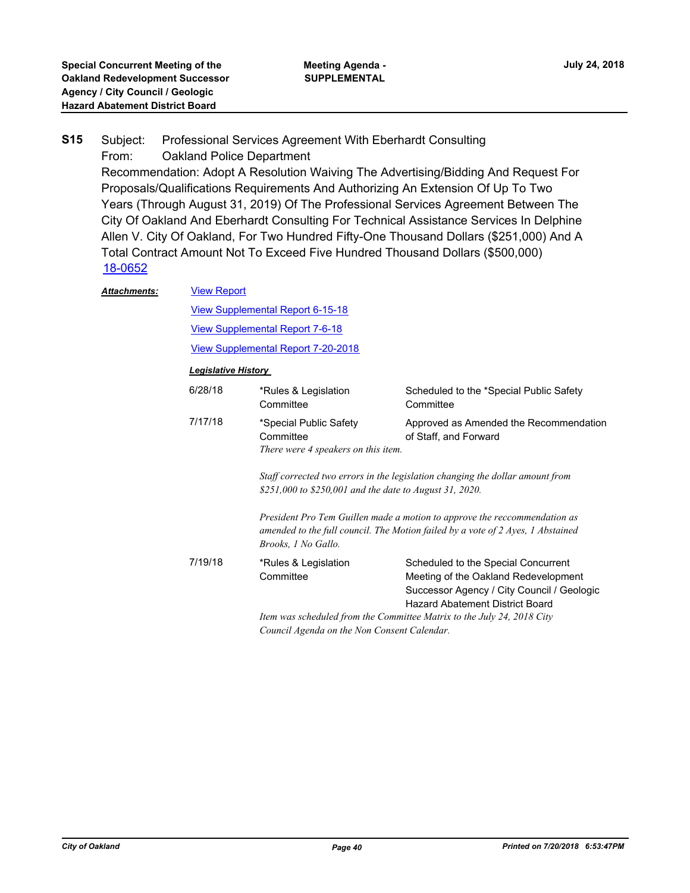### Subject: Professional Services Agreement With Eberhardt Consulting From: Oakland Police Department Recommendation: Adopt A Resolution Waiving The Advertising/Bidding And Request For Proposals/Qualifications Requirements And Authorizing An Extension Of Up To Two Years (Through August 31, 2019) Of The Professional Services Agreement Between The City Of Oakland And Eberhardt Consulting For Technical Assistance Services In Delphine Allen V. City Of Oakland, For Two Hundred Fifty-One Thousand Dollars (\$251,000) And A Total Contract Amount Not To Exceed Five Hundred Thousand Dollars (\$500,000) **S15** [18-0652](http://oakland.legistar.com/gateway.aspx?m=l&id=/matter.aspx?key=29086) [View Report](http://oakland.legistar.com/gateway.aspx?M=F&ID=51a588e2-141e-4f13-b511-51ecc455a0d1.pdf) *Attachments:*

| <i>lacnments:</i> | <b>VIEW REPORT</b>                                                                                                    |                                                                                                                                                                                                                                                                                                                                 |                                                                                                                                                                     |  |
|-------------------|-----------------------------------------------------------------------------------------------------------------------|---------------------------------------------------------------------------------------------------------------------------------------------------------------------------------------------------------------------------------------------------------------------------------------------------------------------------------|---------------------------------------------------------------------------------------------------------------------------------------------------------------------|--|
|                   | <b>View Supplemental Report 6-15-18</b>                                                                               |                                                                                                                                                                                                                                                                                                                                 |                                                                                                                                                                     |  |
|                   |                                                                                                                       | <b>View Supplemental Report 7-6-18</b>                                                                                                                                                                                                                                                                                          |                                                                                                                                                                     |  |
|                   | <b>View Supplemental Report 7-20-2018</b>                                                                             |                                                                                                                                                                                                                                                                                                                                 |                                                                                                                                                                     |  |
|                   | <b>Legislative History</b>                                                                                            |                                                                                                                                                                                                                                                                                                                                 |                                                                                                                                                                     |  |
|                   | 6/28/18                                                                                                               | *Rules & Legislation<br>Committee                                                                                                                                                                                                                                                                                               | Scheduled to the *Special Public Safety<br>Committee                                                                                                                |  |
|                   | 7/17/18                                                                                                               | *Special Public Safety<br>Committee<br>There were 4 speakers on this item.                                                                                                                                                                                                                                                      | Approved as Amended the Recommendation<br>of Staff, and Forward                                                                                                     |  |
|                   |                                                                                                                       | Staff corrected two errors in the legislation changing the dollar amount from<br>\$251,000 to \$250,001 and the date to August 31, 2020.<br>President Pro Tem Guillen made a motion to approve the reccommendation as<br>amended to the full council. The Motion failed by a vote of 2 Ayes, 1 Abstained<br>Brooks, 1 No Gallo. |                                                                                                                                                                     |  |
|                   |                                                                                                                       |                                                                                                                                                                                                                                                                                                                                 |                                                                                                                                                                     |  |
|                   | 7/19/18                                                                                                               | *Rules & Legislation<br>Committee                                                                                                                                                                                                                                                                                               | Scheduled to the Special Concurrent<br>Meeting of the Oakland Redevelopment<br>Successor Agency / City Council / Geologic<br><b>Hazard Abatement District Board</b> |  |
|                   | Item was scheduled from the Committee Matrix to the July 24, 2018 City<br>Council Agenda on the Non Consent Calendar. |                                                                                                                                                                                                                                                                                                                                 |                                                                                                                                                                     |  |
|                   |                                                                                                                       |                                                                                                                                                                                                                                                                                                                                 |                                                                                                                                                                     |  |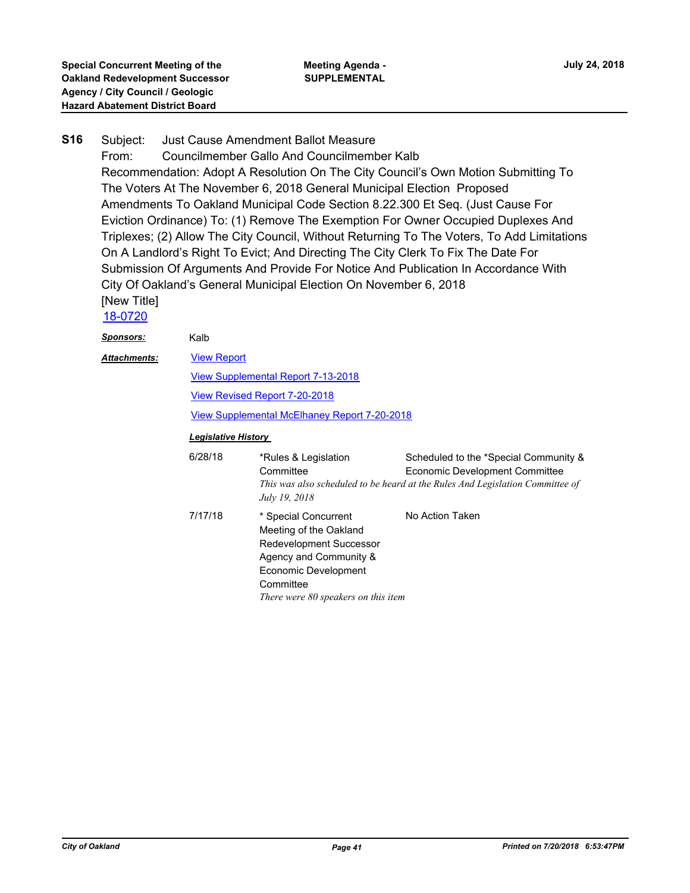#### Subject: Just Cause Amendment Ballot Measure **S16**

From: Councilmember Gallo And Councilmember Kalb Recommendation: Adopt A Resolution On The City Council's Own Motion Submitting To The Voters At The November 6, 2018 General Municipal Election Proposed Amendments To Oakland Municipal Code Section 8.22.300 Et Seq. (Just Cause For Eviction Ordinance) To: (1) Remove The Exemption For Owner Occupied Duplexes And Triplexes; (2) Allow The City Council, Without Returning To The Voters, To Add Limitations On A Landlord's Right To Evict; And Directing The City Clerk To Fix The Date For Submission Of Arguments And Provide For Notice And Publication In Accordance With City Of Oakland's General Municipal Election On November 6, 2018 [New Title]

# [18-0720](http://oakland.legistar.com/gateway.aspx?m=l&id=/matter.aspx?key=29154)

| <u> Sponsors:</u> | Kalb                                                                                                                                              |                                                                                                                                                                                        |                                                                                                                                                          |  |
|-------------------|---------------------------------------------------------------------------------------------------------------------------------------------------|----------------------------------------------------------------------------------------------------------------------------------------------------------------------------------------|----------------------------------------------------------------------------------------------------------------------------------------------------------|--|
| Attachments:      | <b>View Report</b>                                                                                                                                |                                                                                                                                                                                        |                                                                                                                                                          |  |
|                   | View Supplemental Report 7-13-2018<br>View Revised Report 7-20-2018<br>View Supplemental McElhaney Report 7-20-2018<br><b>Legislative History</b> |                                                                                                                                                                                        |                                                                                                                                                          |  |
|                   |                                                                                                                                                   |                                                                                                                                                                                        |                                                                                                                                                          |  |
|                   |                                                                                                                                                   |                                                                                                                                                                                        |                                                                                                                                                          |  |
|                   |                                                                                                                                                   |                                                                                                                                                                                        |                                                                                                                                                          |  |
|                   | 6/28/18                                                                                                                                           | *Rules & Legislation<br>Committee<br>July 19, 2018                                                                                                                                     | Scheduled to the *Special Community &<br>Economic Development Committee<br>This was also scheduled to be heard at the Rules And Legislation Committee of |  |
|                   | 7/17/18                                                                                                                                           | * Special Concurrent<br>Meeting of the Oakland<br><b>Redevelopment Successor</b><br>Agency and Community &<br>Economic Development<br>Committee<br>There were 80 speakers on this item | No Action Taken                                                                                                                                          |  |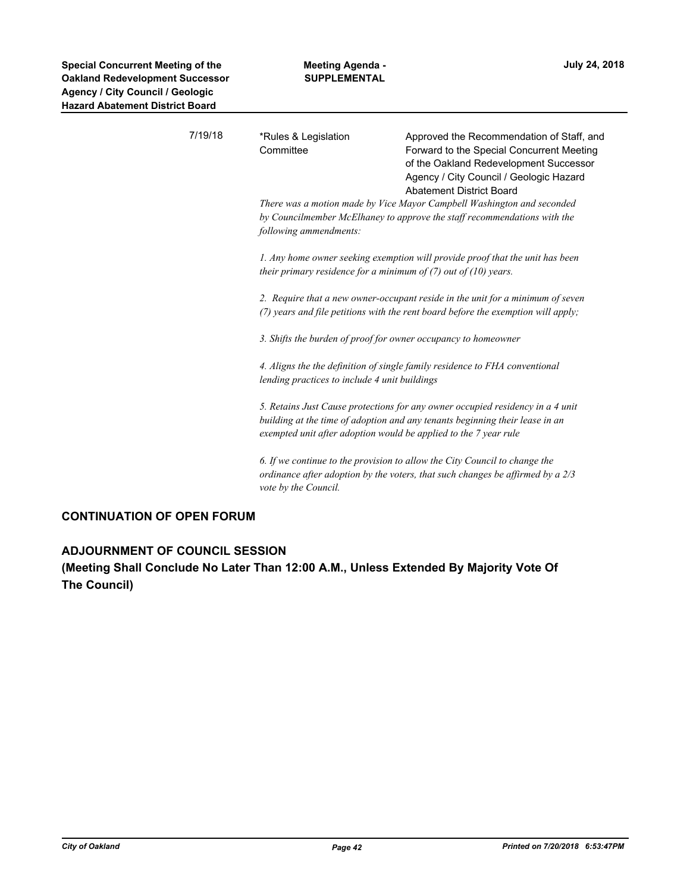| 7/19/18 | *Rules & Legislation<br>Committee                                                                                                                                            | Approved the Recommendation of Staff, and<br>Forward to the Special Concurrent Meeting<br>of the Oakland Redevelopment Successor<br>Agency / City Council / Geologic Hazard<br><b>Abatement District Board</b> |
|---------|------------------------------------------------------------------------------------------------------------------------------------------------------------------------------|----------------------------------------------------------------------------------------------------------------------------------------------------------------------------------------------------------------|
|         | There was a motion made by Vice Mayor Campbell Washington and seconded<br>by Councilmember McElhaney to approve the staff recommendations with the<br>following ammendments: |                                                                                                                                                                                                                |
|         | their primary residence for a minimum of $(7)$ out of $(10)$ years.                                                                                                          | 1. Any home owner seeking exemption will provide proof that the unit has been                                                                                                                                  |
|         |                                                                                                                                                                              | 2. Require that a new owner-occupant reside in the unit for a minimum of seven<br>(7) years and file petitions with the rent board before the exemption will apply;                                            |
|         | 3. Shifts the burden of proof for owner occupancy to homeowner                                                                                                               |                                                                                                                                                                                                                |
|         | lending practices to include 4 unit buildings                                                                                                                                | 4. Aligns the the definition of single family residence to FHA conventional                                                                                                                                    |
|         | exempted unit after adoption would be applied to the 7 year rule                                                                                                             | 5. Retains Just Cause protections for any owner occupied residency in a 4 unit<br>building at the time of adoption and any tenants beginning their lease in an                                                 |
|         | vote by the Council.                                                                                                                                                         | 6. If we continue to the provision to allow the City Council to change the<br>ordinance after adoption by the voters, that such changes be affirmed by a $2/3$                                                 |
|         |                                                                                                                                                                              |                                                                                                                                                                                                                |

## **CONTINUATION OF OPEN FORUM**

## **ADJOURNMENT OF COUNCIL SESSION**

**(Meeting Shall Conclude No Later Than 12:00 A.M., Unless Extended By Majority Vote Of The Council)**